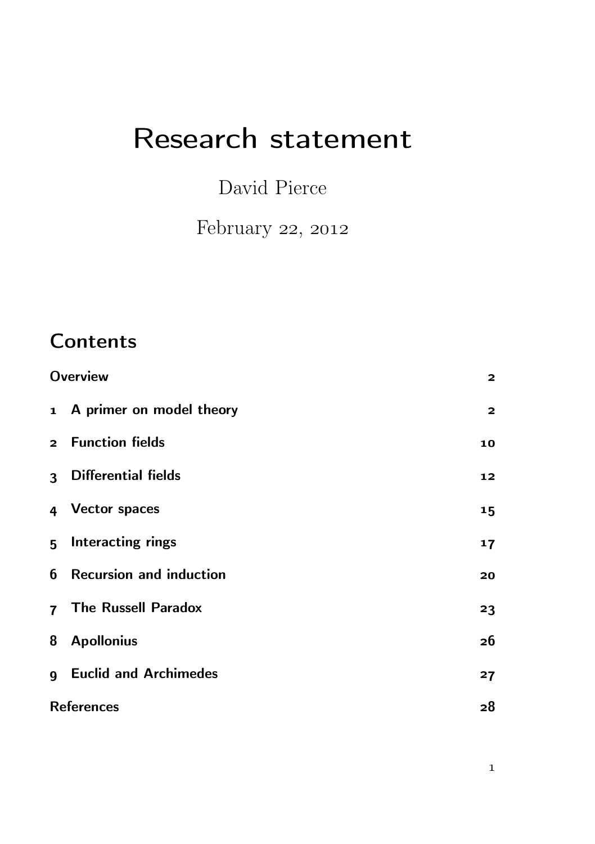# Research statement

## David Pierce

February 22, 2012

# **Contents**

| <b>Overview</b>   |                                  | $\overline{2}$          |
|-------------------|----------------------------------|-------------------------|
|                   | 1 A primer on model theory       | $\overline{\mathbf{2}}$ |
|                   | 2 Function fields                | 10                      |
|                   | 3 Differential fields            | 12                      |
|                   | 4 Vector spaces                  | 15                      |
|                   | 5 Interacting rings              | 17                      |
|                   | <b>6</b> Recursion and induction | 20                      |
|                   | 7 The Russell Paradox            | 23                      |
|                   | 8 Apollonius                     | 26                      |
|                   | <b>9</b> Euclid and Archimedes   | 27                      |
| <b>References</b> |                                  | 28                      |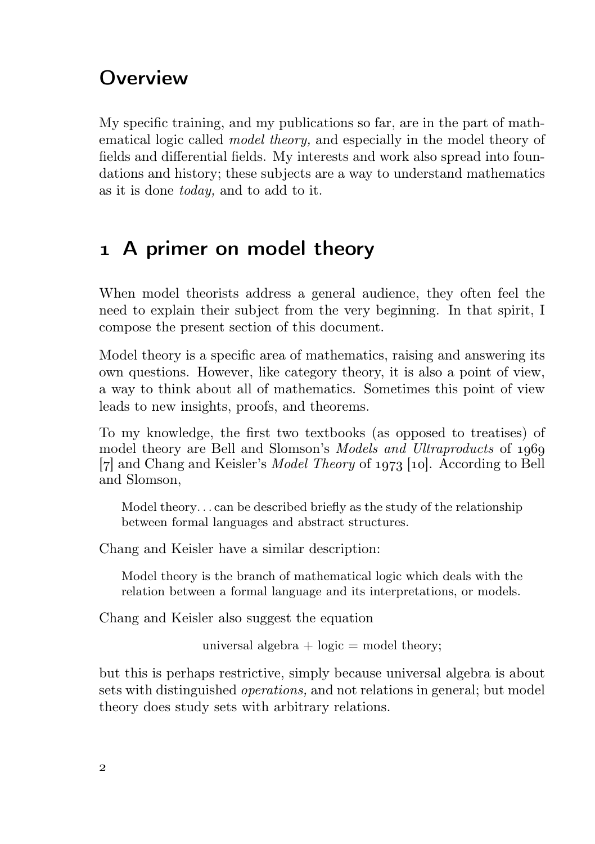#### **Overview**

My specific training, and my publications so far, are in the part of mathematical logic called model theory, and especially in the model theory of fields and differential fields. My interests and work also spread into foundations and history; these subjects are a way to understand mathematics as it is done today, and to add to it.

#### A primer on model theory

When model theorists address a general audience, they often feel the need to explain their subject from the very beginning. In that spirit, I compose the present section of this document.

Model theory is a specific area of mathematics, raising and answering its own questions. However, like category theory, it is also a point of view, a way to think about all of mathematics. Sometimes this point of view leads to new insights, proofs, and theorems.

To my knowledge, the first two textbooks (as opposed to treatises) of model theory are Bell and Slomson's *Models and Ultraproducts* of 1969  $[7]$  and Chang and Keisler's *Model Theory* of 1973 [10]. According to Bell and Slomson,

Model theory. . . can be described briefly as the study of the relationship between formal languages and abstract structures.

Chang and Keisler have a similar description:

Model theory is the branch of mathematical logic which deals with the relation between a formal language and its interpretations, or models.

Chang and Keisler also suggest the equation

universal algebra  $+$  logic  $=$  model theory;

but this is perhaps restrictive, simply because universal algebra is about sets with distinguished operations, and not relations in general; but model theory does study sets with arbitrary relations.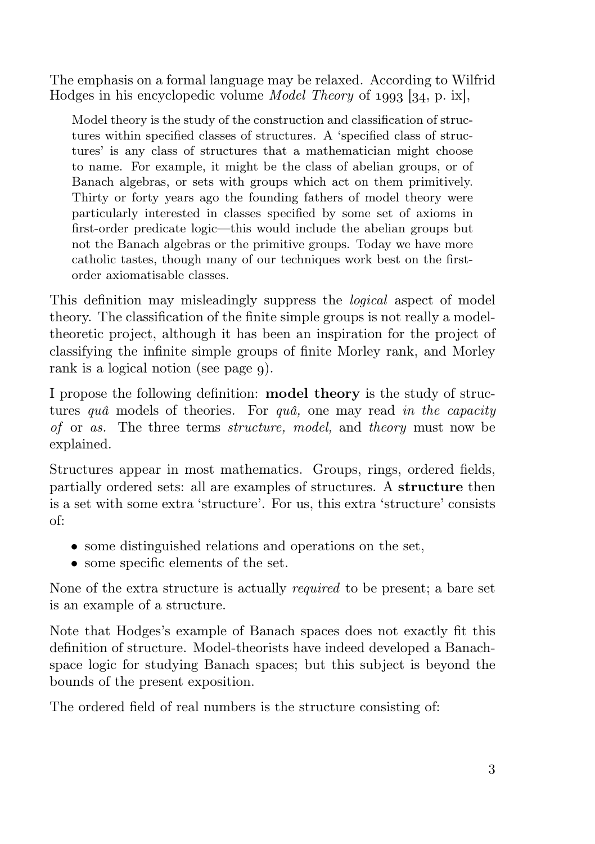The emphasis on a formal language may be relaxed. According to Wilfrid Hodges in his encyclopedic volume *Model Theory* of  $1993$  [ $34$ , p. ix],

Model theory is the study of the construction and classification of structures within specified classes of structures. A 'specified class of structures' is any class of structures that a mathematician might choose to name. For example, it might be the class of abelian groups, or of Banach algebras, or sets with groups which act on them primitively. Thirty or forty years ago the founding fathers of model theory were particularly interested in classes specified by some set of axioms in first-order predicate logic—this would include the abelian groups but not the Banach algebras or the primitive groups. Today we have more catholic tastes, though many of our techniques work best on the firstorder axiomatisable classes.

This definition may misleadingly suppress the logical aspect of model theory. The classification of the finite simple groups is not really a modeltheoretic project, although it has been an inspiration for the project of classifying the infinite simple groups of finite Morley rank, and Morley rank is a logical notion (see page 9).

I propose the following definition: **model theory** is the study of structures *quâ* models of theories. For *quâ*, one may read *in the capacity* of or as. The three terms structure, model, and theory must now be explained.

Structures appear in most mathematics. Groups, rings, ordered fields, partially ordered sets: all are examples of structures. A structure then is a set with some extra 'structure'. For us, this extra 'structure' consists of:

- some distinguished relations and operations on the set,
- some specific elements of the set.

None of the extra structure is actually required to be present; a bare set is an example of a structure.

Note that Hodges's example of Banach spaces does not exactly fit this definition of structure. Model-theorists have indeed developed a Banachspace logic for studying Banach spaces; but this subject is beyond the bounds of the present exposition.

The ordered field of real numbers is the structure consisting of: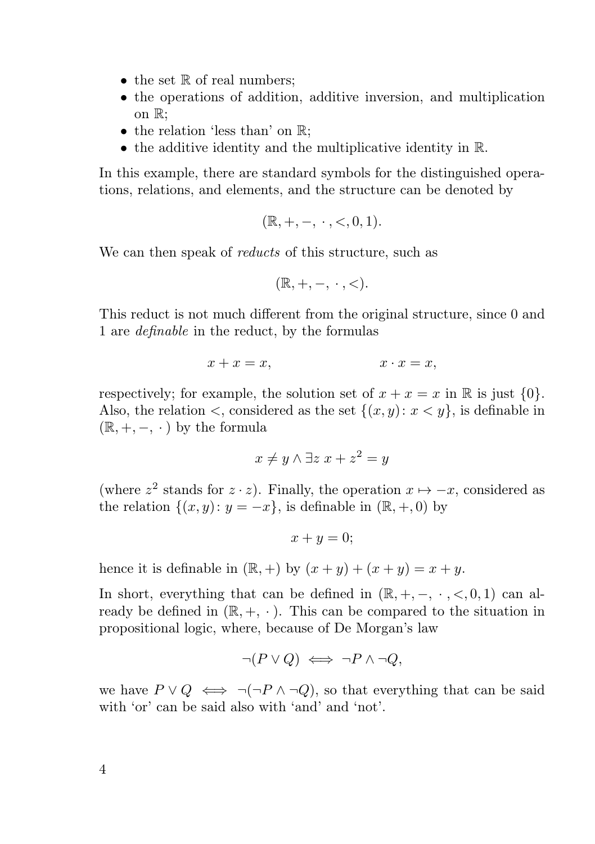- $\bullet$  the set  $\mathbb R$  of real numbers:
- the operations of addition, additive inversion, and multiplication on R;
- the relation 'less than' on  $\mathbb{R}$ :
- the additive identity and the multiplicative identity in  $\mathbb{R}$ .

In this example, there are standard symbols for the distinguished operations, relations, and elements, and the structure can be denoted by

$$
(\mathbb{R}, +, -, \cdot, <, 0, 1).
$$

We can then speak of *reducts* of this structure, such as

$$
(\mathbb{R},+,-,\;\cdot\;,<).
$$

This reduct is not much different from the original structure, since 0 and 1 are definable in the reduct, by the formulas

$$
x + x = x, \qquad x \cdot x = x,
$$

respectively; for example, the solution set of  $x + x = x$  in R is just  $\{0\}$ . Also, the relation  $\lt$ , considered as the set  $\{(x, y): x \lt y\}$ , is definable in  $(\mathbb{R}, +, -, \cdot)$  by the formula

$$
x \neq y \land \exists z \ x + z^2 = y
$$

(where  $z^2$  stands for  $z \cdot z$ ). Finally, the operation  $x \mapsto -x$ , considered as the relation  $\{(x, y): y = -x\}$ , is definable in  $(\mathbb{R}, +, 0)$  by

$$
x + y = 0;
$$

hence it is definable in  $(\mathbb{R}, +)$  by  $(x + y) + (x + y) = x + y$ .

In short, everything that can be defined in  $(\mathbb{R}, +, -, \cdot, <, 0, 1)$  can already be defined in  $(\mathbb{R}, +, \cdot)$ . This can be compared to the situation in propositional logic, where, because of De Morgan's law

$$
\neg (P \lor Q) \iff \neg P \land \neg Q,
$$

we have  $P \vee Q \iff \neg(\neg P \wedge \neg Q)$ , so that everything that can be said with 'or' can be said also with 'and' and 'not'.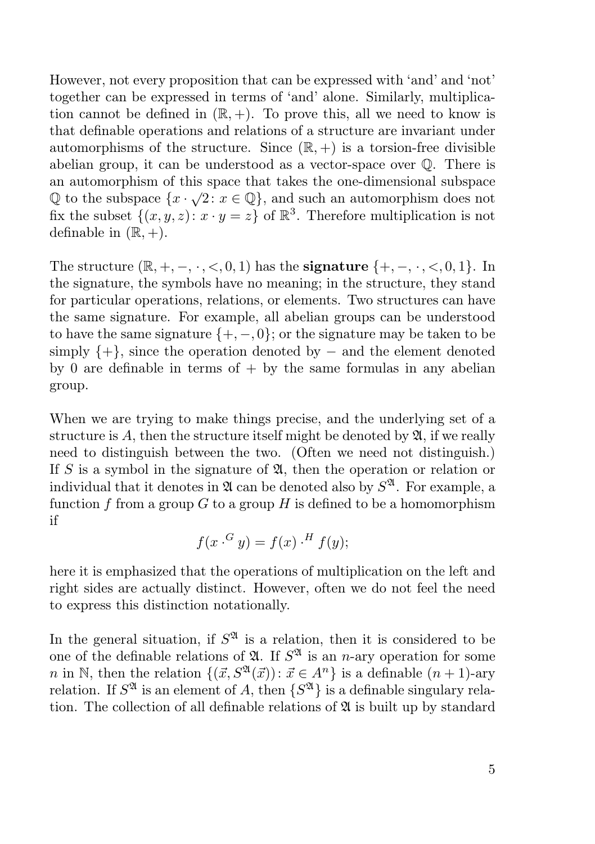However, not every proposition that can be expressed with 'and' and 'not' together can be expressed in terms of 'and' alone. Similarly, multiplication cannot be defined in  $(\mathbb{R}, +)$ . To prove this, all we need to know is that definable operations and relations of a structure are invariant under automorphisms of the structure. Since  $(\mathbb{R}, +)$  is a torsion-free divisible abelian group, it can be understood as a vector-space over Q. There is an automorphism of this space that takes the one-dimensional subspace  $\mathbb Q$  to the subspace  $\{x \cdot \sqrt{2} : x \in \mathbb Q\}$ , and such an automorphism does not fix the subset  $\{(x, y, z): x \cdot y = z\}$  of  $\mathbb{R}^3$ . Therefore multiplication is not definable in  $(\mathbb{R}, +)$ .

The structure  $(\mathbb{R}, +, -, \cdot, <, 0, 1)$  has the **signature**  $\{+, -, \cdot, <, 0, 1\}$ . In the signature, the symbols have no meaning; in the structure, they stand for particular operations, relations, or elements. Two structures can have the same signature. For example, all abelian groups can be understood to have the same signature  $\{+, -, 0\}$ ; or the signature may be taken to be simply  $\{+\}$ , since the operation denoted by – and the element denoted by 0 are definable in terms of  $+$  by the same formulas in any abelian group.

When we are trying to make things precise, and the underlying set of a structure is A, then the structure itself might be denoted by  $\mathfrak{A}$ , if we really need to distinguish between the two. (Often we need not distinguish.) If S is a symbol in the signature of  $\mathfrak{A}$ , then the operation or relation or individual that it denotes in  $\mathfrak A$  can be denoted also by  $S^{\mathfrak A}$ . For example, a function f from a group  $G$  to a group  $H$  is defined to be a homomorphism if

$$
f(x \cdot G y) = f(x) \cdot H f(y);
$$

here it is emphasized that the operations of multiplication on the left and right sides are actually distinct. However, often we do not feel the need to express this distinction notationally.

In the general situation, if  $S^{\mathfrak{A}}$  is a relation, then it is considered to be one of the definable relations of  $\mathfrak{A}$ . If  $S^{\mathfrak{A}}$  is an *n*-ary operation for some n in N, then the relation  $\{(\vec{x}, S^{\mathfrak{A}}(\vec{x})): \vec{x} \in A^n\}$  is a definable  $(n + 1)$ -ary relation. If  $S^{\mathfrak{A}}$  is an element of A, then  $\{S^{\mathfrak{A}}\}$  is a definable singulary relation. The collection of all definable relations of  $\mathfrak A$  is built up by standard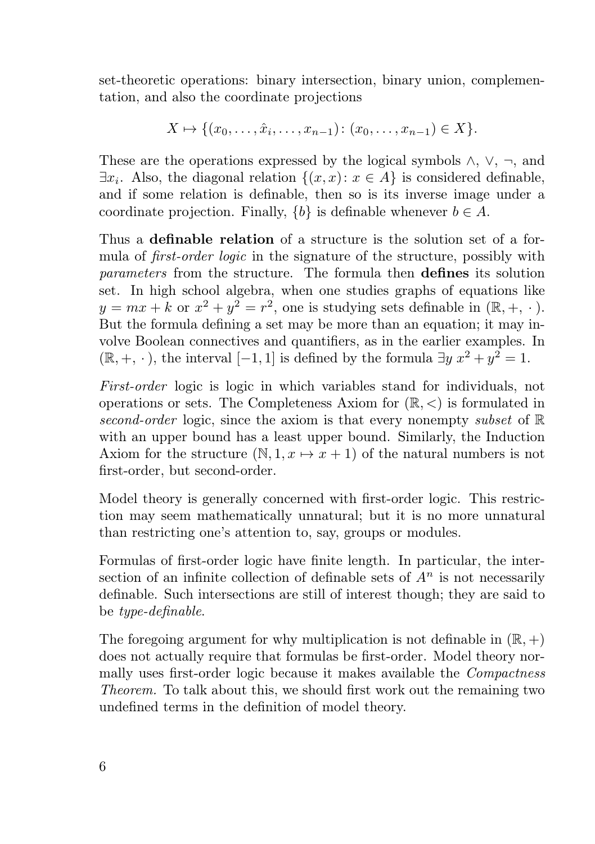set-theoretic operations: binary intersection, binary union, complementation, and also the coordinate projections

$$
X \mapsto \{(x_0, \ldots, \hat{x}_i, \ldots, x_{n-1}) : (x_0, \ldots, x_{n-1}) \in X\}.
$$

These are the operations expressed by the logical symbols  $\wedge$ ,  $\vee$ ,  $\neg$ , and  $\exists x_i$ . Also, the diagonal relation  $\{(x, x): x \in A\}$  is considered definable, and if some relation is definable, then so is its inverse image under a coordinate projection. Finally,  ${b}$  is definable whenever  $b \in A$ .

Thus a definable relation of a structure is the solution set of a formula of *first-order logic* in the signature of the structure, possibly with parameters from the structure. The formula then defines its solution set. In high school algebra, when one studies graphs of equations like  $y = mx + k$  or  $x^2 + y^2 = r^2$ , one is studying sets definable in  $(\mathbb{R}, +, \cdot)$ . But the formula defining a set may be more than an equation; it may involve Boolean connectives and quantifiers, as in the earlier examples. In  $(\mathbb{R}, +, \cdot)$ , the interval  $[-1, 1]$  is defined by the formula  $\exists y \ x^2 + y^2 = 1$ .

First-order logic is logic in which variables stand for individuals, not operations or sets. The Completeness Axiom for  $(\mathbb{R}, \leq)$  is formulated in second-order logic, since the axiom is that every nonempty subset of  $\mathbb R$ with an upper bound has a least upper bound. Similarly, the Induction Axiom for the structure  $(N, 1, x \mapsto x + 1)$  of the natural numbers is not first-order, but second-order.

Model theory is generally concerned with first-order logic. This restriction may seem mathematically unnatural; but it is no more unnatural than restricting one's attention to, say, groups or modules.

Formulas of first-order logic have finite length. In particular, the intersection of an infinite collection of definable sets of  $A<sup>n</sup>$  is not necessarily definable. Such intersections are still of interest though; they are said to be type-definable.

The foregoing argument for why multiplication is not definable in  $(\mathbb{R}, +)$ does not actually require that formulas be first-order. Model theory normally uses first-order logic because it makes available the Compactness Theorem. To talk about this, we should first work out the remaining two undefined terms in the definition of model theory.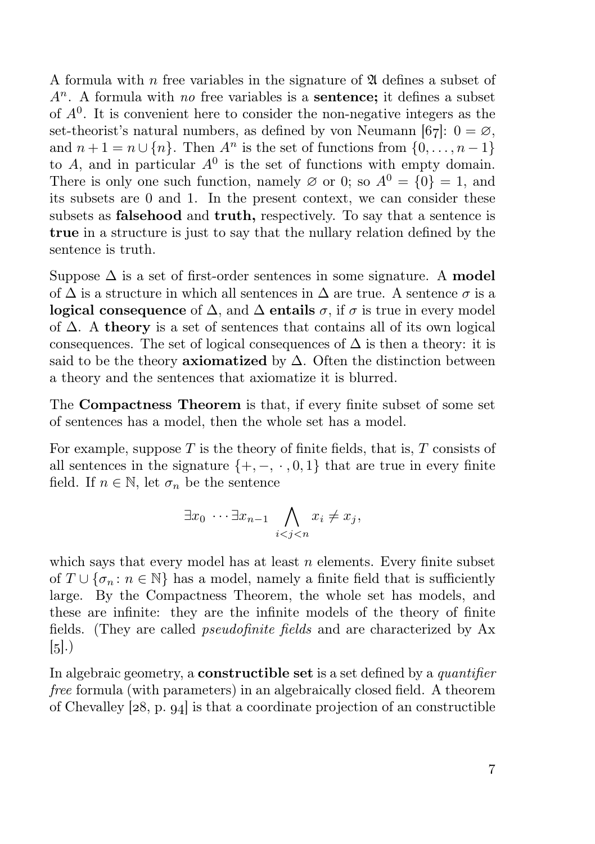A formula with n free variables in the signature of  $\mathfrak A$  defines a subset of  $A<sup>n</sup>$ . A formula with no free variables is a **sentence**; it defines a subset of  $A^0$ . It is convenient here to consider the non-negative integers as the set-theorist's natural numbers, as defined by von Neumann [67]:  $0 = \emptyset$ , and  $n+1 = n \cup \{n\}$ . Then  $A^n$  is the set of functions from  $\{0, \ldots, n-1\}$ to A, and in particular  $A^0$  is the set of functions with empty domain. There is only one such function, namely  $\varnothing$  or 0; so  $A^0 = \{0\} = 1$ , and its subsets are 0 and 1. In the present context, we can consider these subsets as **falsehood** and **truth**, respectively. To say that a sentence is true in a structure is just to say that the nullary relation defined by the sentence is truth.

Suppose  $\Delta$  is a set of first-order sentences in some signature. A **model** of  $\Delta$  is a structure in which all sentences in  $\Delta$  are true. A sentence  $\sigma$  is a logical consequence of  $\Delta$ , and  $\Delta$  entails  $\sigma$ , if  $\sigma$  is true in every model of  $\Delta$ . A theory is a set of sentences that contains all of its own logical consequences. The set of logical consequences of  $\Delta$  is then a theory: it is said to be the theory **axiomatized** by  $\Delta$ . Often the distinction between a theory and the sentences that axiomatize it is blurred.

The Compactness Theorem is that, if every finite subset of some set of sentences has a model, then the whole set has a model.

For example, suppose  $T$  is the theory of finite fields, that is,  $T$  consists of all sentences in the signature  $\{+,-,\cdot,0,1\}$  that are true in every finite field. If  $n \in \mathbb{N}$ , let  $\sigma_n$  be the sentence

$$
\exists x_0 \cdots \exists x_{n-1} \bigwedge_{i < j < n} x_i \neq x_j,
$$

which says that every model has at least  $n$  elements. Every finite subset of  $T \cup {\sigma_n : n \in \mathbb{N}}$  has a model, namely a finite field that is sufficiently large. By the Compactness Theorem, the whole set has models, and these are infinite: they are the infinite models of the theory of finite fields. (They are called pseudofinite fields and are characterized by Ax  $\left[5\right]$ .)

In algebraic geometry, a **constructible set** is a set defined by a *quantifier* free formula (with parameters) in an algebraically closed field. A theorem of Chevalley  $[28, p. 94]$  is that a coordinate projection of an constructible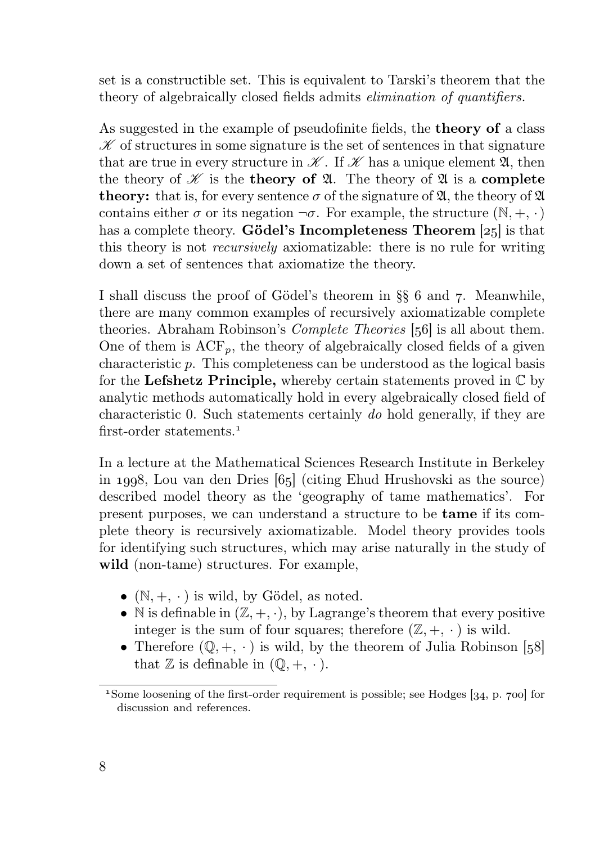set is a constructible set. This is equivalent to Tarski's theorem that the theory of algebraically closed fields admits elimination of quantifiers.

As suggested in the example of pseudofinite fields, the theory of a class  $\mathscr K$  of structures in some signature is the set of sentences in that signature that are true in every structure in  $\mathscr K$ . If  $\mathscr K$  has a unique element  $\mathfrak A$ , then the theory of  $\mathscr X$  is the **theory of**  $\mathfrak A$ . The theory of  $\mathfrak A$  is a **complete theory:** that is, for every sentence  $\sigma$  of the signature of  $\mathfrak{A}$ , the theory of  $\mathfrak{A}$ contains either  $\sigma$  or its negation  $\neg \sigma$ . For example, the structure  $(\mathbb{N}, +, \cdot)$ has a complete theory. **Gödel's Incompleteness Theorem**  $[25]$  is that this theory is not recursively axiomatizable: there is no rule for writing down a set of sentences that axiomatize the theory.

I shall discuss the proof of Gödel's theorem in  $\S$  6 and 7. Meanwhile, there are many common examples of recursively axiomatizable complete theories. Abraham Robinson's *Complete Theories* [56] is all about them. One of them is  $ACF_p$ , the theory of algebraically closed fields of a given characteristic p. This completeness can be understood as the logical basis for the Lefshetz Principle, whereby certain statements proved in  $\mathbb C$  by analytic methods automatically hold in every algebraically closed field of characteristic 0. Such statements certainly do hold generally, if they are first-order statements<sup>1</sup>

In a lecture at the Mathematical Sciences Research Institute in Berkeley in 1998, Lou van den Dries  $[65]$  (citing Ehud Hrushovski as the source) described model theory as the 'geography of tame mathematics'. For present purposes, we can understand a structure to be tame if its complete theory is recursively axiomatizable. Model theory provides tools for identifying such structures, which may arise naturally in the study of wild (non-tame) structures. For example,

- $(N, +, \cdot)$  is wild, by Gödel, as noted.
- N is definable in  $(\mathbb{Z}, +, \cdot)$ , by Lagrange's theorem that every positive integer is the sum of four squares; therefore  $(\mathbb{Z}, +, \cdot)$  is wild.
- Therefore  $(\mathbb{Q}, +, \cdot)$  is wild, by the theorem of Julia Robinson [58] that  $\mathbb Z$  is definable in  $(\mathbb Q, +, \cdot)$ .

<sup>&</sup>lt;sup>1</sup>Some loosening of the first-order requirement is possible; see Hodges  $[34, p. 700]$  for discussion and references.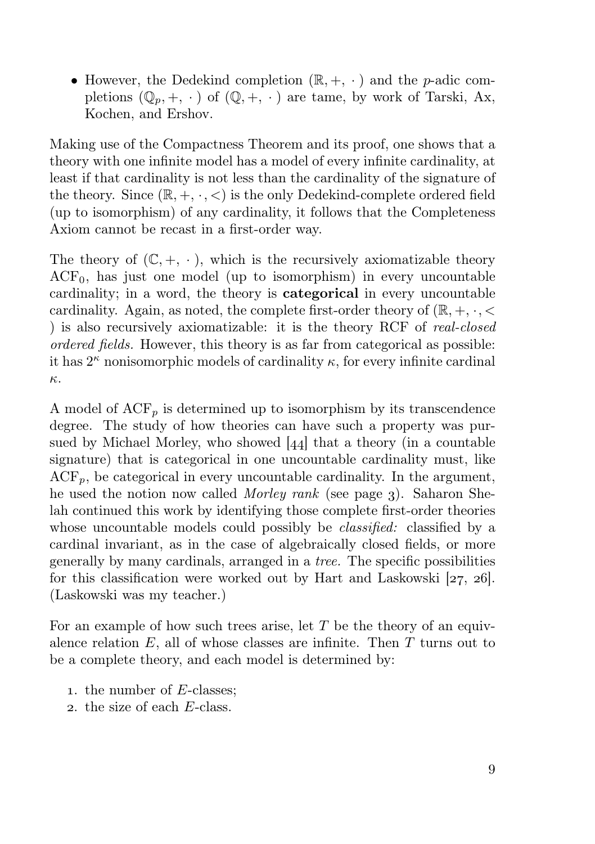• However, the Dedekind completion  $(\mathbb{R}, +, \cdot)$  and the *p*-adic completions  $(\mathbb{Q}_n, +, \cdot)$  of  $(\mathbb{Q}, +, \cdot)$  are tame, by work of Tarski, Ax, Kochen, and Ershov.

Making use of the Compactness Theorem and its proof, one shows that a theory with one infinite model has a model of every infinite cardinality, at least if that cardinality is not less than the cardinality of the signature of the theory. Since  $(\mathbb{R}, +, \cdot, <)$  is the only Dedekind-complete ordered field (up to isomorphism) of any cardinality, it follows that the Completeness Axiom cannot be recast in a first-order way.

The theory of  $(\mathbb{C}, +, \cdot)$ , which is the recursively axiomatizable theory  $ACF<sub>0</sub>$ , has just one model (up to isomorphism) in every uncountable cardinality; in a word, the theory is categorical in every uncountable cardinality. Again, as noted, the complete first-order theory of  $(\mathbb{R}, +, \cdot, <)$ ) is also recursively axiomatizable: it is the theory RCF of real-closed ordered fields. However, this theory is as far from categorical as possible: it has  $2^{\kappa}$  nonisomorphic models of cardinality  $\kappa$ , for every infinite cardinal κ.

A model of  $ACF_p$  is determined up to isomorphism by its transcendence degree. The study of how theories can have such a property was pursued by Michael Morley, who showed  $[44]$  that a theory (in a countable signature) that is categorical in one uncountable cardinality must, like  $\text{ACF}_p$ , be categorical in every uncountable cardinality. In the argument, he used the notion now called *Morley rank* (see page 3). Saharon Shelah continued this work by identifying those complete first-order theories whose uncountable models could possibly be *classified*: classified by a cardinal invariant, as in the case of algebraically closed fields, or more generally by many cardinals, arranged in a tree. The specific possibilities for this classification were worked out by Hart and Laskowski  $[27, 26]$ . (Laskowski was my teacher.)

For an example of how such trees arise, let  $T$  be the theory of an equivalence relation  $E$ , all of whose classes are infinite. Then  $T$  turns out to be a complete theory, and each model is determined by:

- . the number of E-classes;
- . the size of each E-class.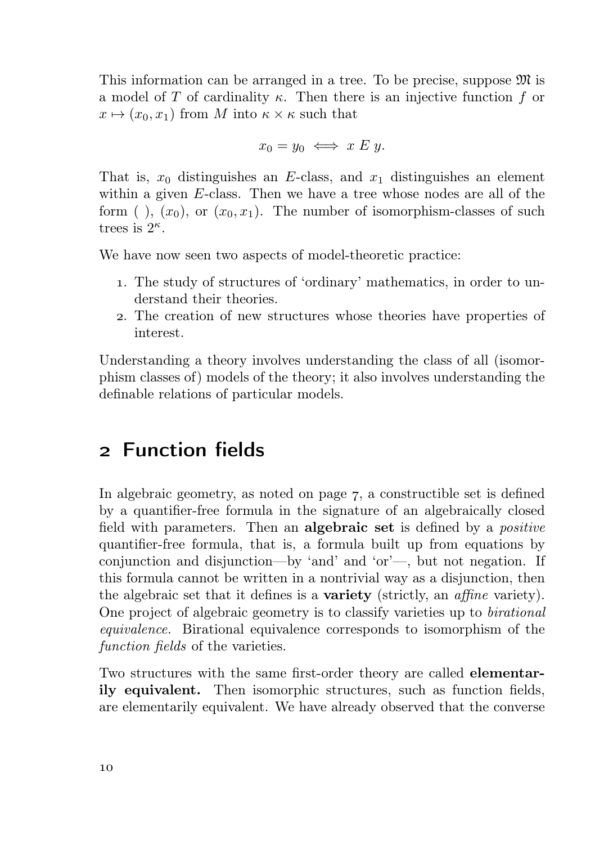This information can be arranged in a tree. To be precise, suppose  $\mathfrak{M}$  is a model of T of cardinality  $\kappa$ . Then there is an injective function f or  $x \mapsto (x_0, x_1)$  from M into  $\kappa \times \kappa$  such that

$$
x_0 = y_0 \iff x \mathrel{E} y.
$$

That is,  $x_0$  distinguishes an E-class, and  $x_1$  distinguishes an element within a given E-class. Then we have a tree whose nodes are all of the form ( ),  $(x_0)$ , or  $(x_0, x_1)$ . The number of isomorphism-classes of such trees is  $2^{\kappa}$ .

We have now seen two aspects of model-theoretic practice:

- . The study of structures of 'ordinary' mathematics, in order to understand their theories.
- . The creation of new structures whose theories have properties of interest.

Understanding a theory involves understanding the class of all (isomorphism classes of) models of the theory; it also involves understanding the definable relations of particular models.

#### Function fields

In algebraic geometry, as noted on page  $7$ , a constructible set is defined by a quantifier-free formula in the signature of an algebraically closed field with parameters. Then an **algebraic set** is defined by a *positive* quantifier-free formula, that is, a formula built up from equations by conjunction and disjunction—by 'and' and 'or'—, but not negation. If this formula cannot be written in a nontrivial way as a disjunction, then the algebraic set that it defines is a **variety** (strictly, an *affine* variety). One project of algebraic geometry is to classify varieties up to birational equivalence. Birational equivalence corresponds to isomorphism of the function fields of the varieties.

Two structures with the same first-order theory are called elementarily equivalent. Then isomorphic structures, such as function fields, are elementarily equivalent. We have already observed that the converse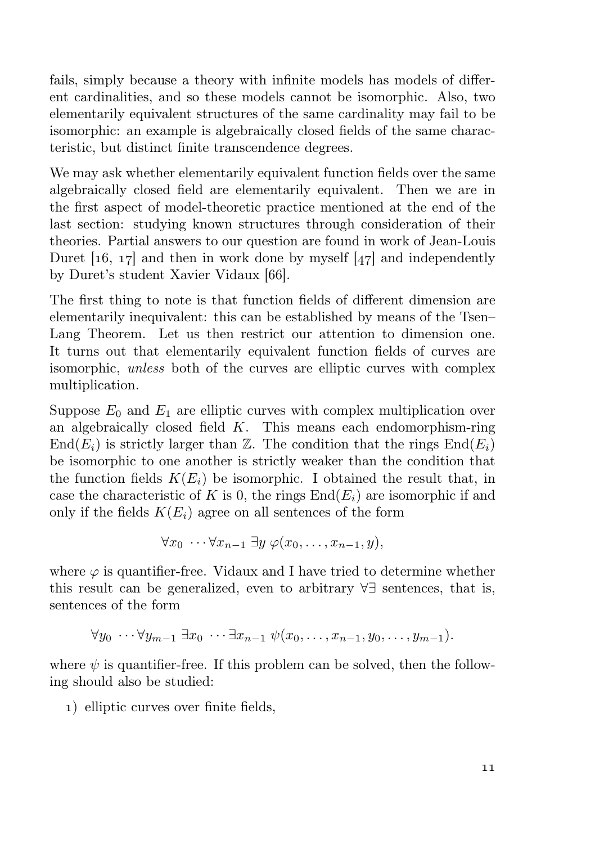fails, simply because a theory with infinite models has models of different cardinalities, and so these models cannot be isomorphic. Also, two elementarily equivalent structures of the same cardinality may fail to be isomorphic: an example is algebraically closed fields of the same characteristic, but distinct finite transcendence degrees.

We may ask whether elementarily equivalent function fields over the same algebraically closed field are elementarily equivalent. Then we are in the first aspect of model-theoretic practice mentioned at the end of the last section: studying known structures through consideration of their theories. Partial answers to our question are found in work of Jean-Louis Duret [16, 17] and then in work done by myself  $[47]$  and independently by Duret's student Xavier Vidaux [66].

The first thing to note is that function fields of different dimension are elementarily inequivalent: this can be established by means of the Tsen– Lang Theorem. Let us then restrict our attention to dimension one. It turns out that elementarily equivalent function fields of curves are isomorphic, unless both of the curves are elliptic curves with complex multiplication.

Suppose  $E_0$  and  $E_1$  are elliptic curves with complex multiplication over an algebraically closed field  $K$ . This means each endomorphism-ring  $\text{End}(E_i)$  is strictly larger than Z. The condition that the rings  $\text{End}(E_i)$ be isomorphic to one another is strictly weaker than the condition that the function fields  $K(E_i)$  be isomorphic. I obtained the result that, in case the characteristic of K is 0, the rings  $\text{End}(E_i)$  are isomorphic if and only if the fields  $K(E_i)$  agree on all sentences of the form

$$
\forall x_0 \cdots \forall x_{n-1} \ \exists y \ \varphi(x_0, \ldots, x_{n-1}, y),
$$

where  $\varphi$  is quantifier-free. Vidaux and I have tried to determine whether this result can be generalized, even to arbitrary ∀∃ sentences, that is, sentences of the form

$$
\forall y_0 \cdots \forall y_{m-1} \ \exists x_0 \ \cdots \exists x_{n-1} \ \psi(x_0, \ldots, x_{n-1}, y_0, \ldots, y_{m-1}).
$$

where  $\psi$  is quantifier-free. If this problem can be solved, then the following should also be studied:

) elliptic curves over finite fields,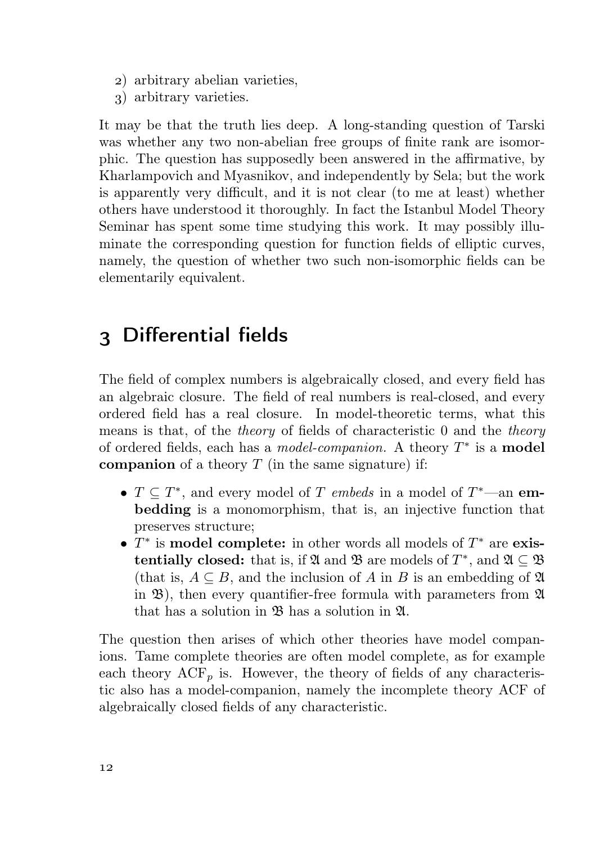- ) arbitrary abelian varieties,
- ) arbitrary varieties.

It may be that the truth lies deep. A long-standing question of Tarski was whether any two non-abelian free groups of finite rank are isomorphic. The question has supposedly been answered in the affirmative, by Kharlampovich and Myasnikov, and independently by Sela; but the work is apparently very difficult, and it is not clear (to me at least) whether others have understood it thoroughly. In fact the Istanbul Model Theory Seminar has spent some time studying this work. It may possibly illuminate the corresponding question for function fields of elliptic curves, namely, the question of whether two such non-isomorphic fields can be elementarily equivalent.

#### Differential fields

The field of complex numbers is algebraically closed, and every field has an algebraic closure. The field of real numbers is real-closed, and every ordered field has a real closure. In model-theoretic terms, what this means is that, of the theory of fields of characteristic 0 and the theory of ordered fields, each has a *model-companion*. A theory  $T^*$  is a **model** companion of a theory  $T$  (in the same signature) if:

- $T \subseteq T^*$ , and every model of T embeds in a model of  $T^*$ —an embedding is a monomorphism, that is, an injective function that preserves structure;
- $T^*$  is model complete: in other words all models of  $T^*$  are existentially closed: that is, if  $\mathfrak A$  and  $\mathfrak B$  are models of  $T^*$ , and  $\mathfrak A\subseteq \mathfrak B$ (that is,  $A \subseteq B$ , and the inclusion of A in B is an embedding of  $\mathfrak A$ in  $\mathfrak{B}$ ), then every quantifier-free formula with parameters from  $\mathfrak{A}$ that has a solution in B has a solution in A.

The question then arises of which other theories have model companions. Tame complete theories are often model complete, as for example each theory  $ACF_p$  is. However, the theory of fields of any characteristic also has a model-companion, namely the incomplete theory ACF of algebraically closed fields of any characteristic.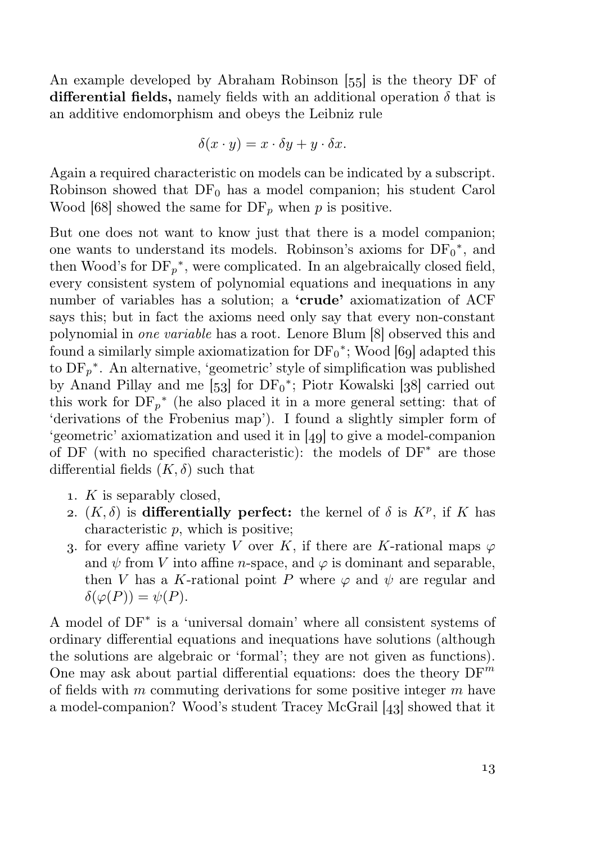An example developed by Abraham Robinson [55] is the theory DF of differential fields, namely fields with an additional operation  $\delta$  that is an additive endomorphism and obeys the Leibniz rule

$$
\delta(x \cdot y) = x \cdot \delta y + y \cdot \delta x.
$$

Again a required characteristic on models can be indicated by a subscript. Robinson showed that  $DF_0$  has a model companion; his student Carol Wood [68] showed the same for  $DF_p$  when p is positive.

But one does not want to know just that there is a model companion; one wants to understand its models. Robinson's axioms for  $DF_0^*$ , and then Wood's for  $DF_p^*$ , were complicated. In an algebraically closed field, every consistent system of polynomial equations and inequations in any number of variables has a solution; a 'crude' axiomatization of ACF says this; but in fact the axioms need only say that every non-constant polynomial in *one variable* has a root. Lenore Blum [8] observed this and found a similarly simple axiomatization for  $DF_0^*$ ; Wood [69] adapted this to  $DF_p^*$ . An alternative, 'geometric' style of simplification was published by Anand Pillay and me  $[53]$  for  $DF_0^*$ ; Piotr Kowalski  $[38]$  carried out this work for  $DF_p^*$  (he also placed it in a more general setting: that of 'derivations of the Frobenius map'). I found a slightly simpler form of 'geometric' axiomatization and used it in  $[49]$  to give a model-companion of DF (with no specified characteristic): the models of DF<sup>∗</sup> are those differential fields  $(K, \delta)$  such that

- 1.  $K$  is separably closed,
- 2.  $(K, \delta)$  is differentially perfect: the kernel of  $\delta$  is  $K^p$ , if K has characteristic p, which is positive;
- 3. for every affine variety V over K, if there are K-rational maps  $\varphi$ and  $\psi$  from V into affine *n*-space, and  $\varphi$  is dominant and separable, then V has a K-rational point P where  $\varphi$  and  $\psi$  are regular and  $\delta(\varphi(P)) = \psi(P).$

A model of DF<sup>∗</sup> is a 'universal domain' where all consistent systems of ordinary differential equations and inequations have solutions (although the solutions are algebraic or 'formal'; they are not given as functions). One may ask about partial differential equations: does the theory  $DF^m$ of fields with  $m$  commuting derivations for some positive integer  $m$  have a model-companion? Wood's student Tracey McGrail  $[43]$  showed that it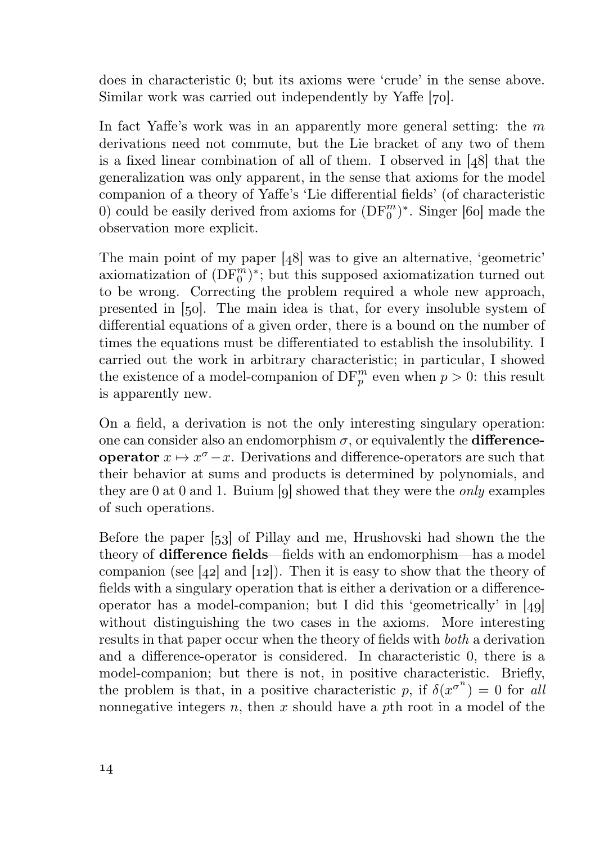does in characteristic 0; but its axioms were 'crude' in the sense above. Similar work was carried out independently by Yaffe [70].

In fact Yaffe's work was in an apparently more general setting: the  $m$ derivations need not commute, but the Lie bracket of any two of them is a fixed linear combination of all of them. I observed in  $[48]$  that the generalization was only apparent, in the sense that axioms for the model companion of a theory of Yaffe's 'Lie differential fields' (of characteristic 0) could be easily derived from axioms for  $(DF_0^m)^*$ . Singer [60] made the observation more explicit.

The main point of my paper  $[48]$  was to give an alternative, 'geometric' axiomatization of  $(\mathrm{DF}_0^m)^*$ ; but this supposed axiomatization turned out to be wrong. Correcting the problem required a whole new approach, presented in  $[50]$ . The main idea is that, for every insoluble system of differential equations of a given order, there is a bound on the number of times the equations must be differentiated to establish the insolubility. I carried out the work in arbitrary characteristic; in particular, I showed the existence of a model-companion of  $DF_p^m$  even when  $p > 0$ : this result is apparently new.

On a field, a derivation is not the only interesting singulary operation: one can consider also an endomorphism  $\sigma$ , or equivalently the **difference**operator  $x \mapsto x^{\sigma} - x$ . Derivations and difference-operators are such that their behavior at sums and products is determined by polynomials, and they are  $0$  at  $0$  and  $1$ . Buium [o] showed that they were the *only* examples of such operations.

Before the paper  $[53]$  of Pillay and me, Hrushovski had shown the the theory of difference fields—fields with an endomorphism—has a model companion (see [42] and [12]). Then it is easy to show that the theory of fields with a singulary operation that is either a derivation or a differenceoperator has a model-companion; but I did this 'geometrically' in  $[49]$ without distinguishing the two cases in the axioms. More interesting results in that paper occur when the theory of fields with both a derivation and a difference-operator is considered. In characteristic 0, there is a model-companion; but there is not, in positive characteristic. Briefly, the problem is that, in a positive characteristic p, if  $\delta(x^{\sigma^n}) = 0$  for all nonnegative integers n, then x should have a pth root in a model of the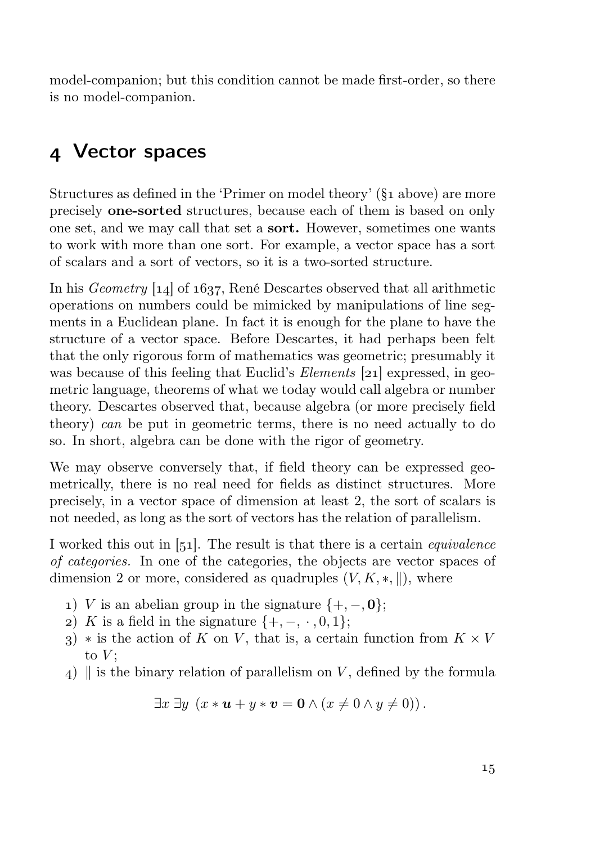model-companion; but this condition cannot be made first-order, so there is no model-companion.

#### Vector spaces

Structures as defined in the 'Primer on model theory'  $(\S_1$  above) are more precisely one-sorted structures, because each of them is based on only one set, and we may call that set a sort. However, sometimes one wants to work with more than one sort. For example, a vector space has a sort of scalars and a sort of vectors, so it is a two-sorted structure.

In his *Geometry*  $[14]$  of  $1637$ . René Descartes observed that all arithmetic operations on numbers could be mimicked by manipulations of line segments in a Euclidean plane. In fact it is enough for the plane to have the structure of a vector space. Before Descartes, it had perhaps been felt that the only rigorous form of mathematics was geometric; presumably it was because of this feeling that Euclid's *Elements* [21] expressed, in geometric language, theorems of what we today would call algebra or number theory. Descartes observed that, because algebra (or more precisely field theory) can be put in geometric terms, there is no need actually to do so. In short, algebra can be done with the rigor of geometry.

We may observe conversely that, if field theory can be expressed geometrically, there is no real need for fields as distinct structures. More precisely, in a vector space of dimension at least 2, the sort of scalars is not needed, as long as the sort of vectors has the relation of parallelism.

I worked this out in [51]. The result is that there is a certain *equivalence* of categories. In one of the categories, the objects are vector spaces of dimension 2 or more, considered as quadruples  $(V, K, *, \|)$ , where

- 1) V is an abelian group in the signature  ${+, -, 0}$ ;
- 2) K is a field in the signature  $\{+,-,\cdot,0,1\}$ ;
- 3) \* is the action of K on V, that is, a certain function from  $K \times V$ to  $V$ :
- 4) is the binary relation of parallelism on V, defined by the formula

$$
\exists x \exists y \ (x * \mathbf{u} + y * \mathbf{v} = \mathbf{0} \land (x \neq 0 \land y \neq 0)).
$$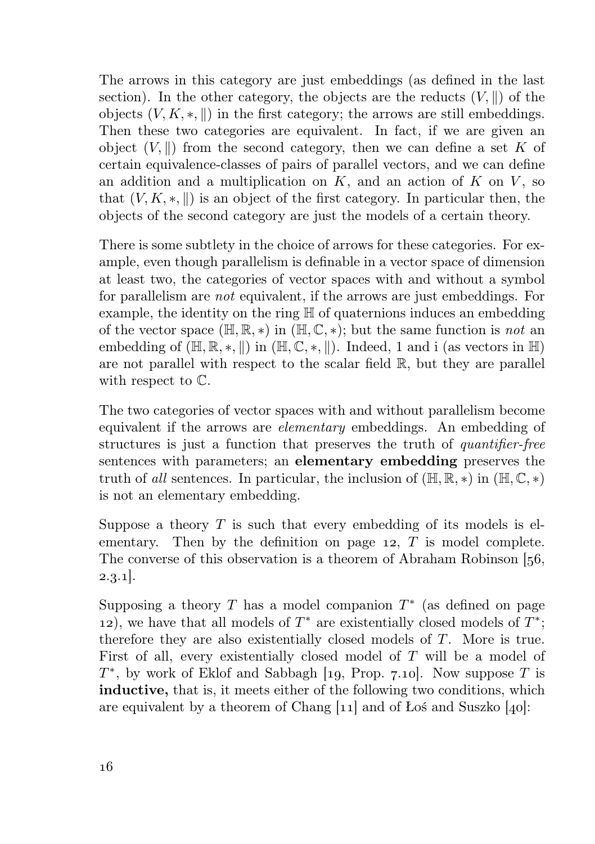The arrows in this category are just embeddings (as defined in the last section). In the other category, the objects are the reducts  $(V, \parallel)$  of the objects  $(V, K, \ast, \mathbb{I})$  in the first category; the arrows are still embeddings. Then these two categories are equivalent. In fact, if we are given an object  $(V, \|)$  from the second category, then we can define a set K of certain equivalence-classes of pairs of parallel vectors, and we can define an addition and a multiplication on  $K$ , and an action of  $K$  on  $V$ , so that  $(V, K, \ast, \parallel)$  is an object of the first category. In particular then, the objects of the second category are just the models of a certain theory.

There is some subtlety in the choice of arrows for these categories. For example, even though parallelism is definable in a vector space of dimension at least two, the categories of vector spaces with and without a symbol for parallelism are not equivalent, if the arrows are just embeddings. For example, the identity on the ring H of quaternions induces an embedding of the vector space  $(\mathbb{H}, \mathbb{R}, *)$  in  $(\mathbb{H}, \mathbb{C}, *)$ ; but the same function is not an embedding of  $(\mathbb{H}, \mathbb{R}, \ast, \mathbb{I})$  in  $(\mathbb{H}, \mathbb{C}, \ast, \mathbb{I})$ . Indeed, 1 and i (as vectors in  $\mathbb{H}$ ) are not parallel with respect to the scalar field R, but they are parallel with respect to C.

The two categories of vector spaces with and without parallelism become equivalent if the arrows are elementary embeddings. An embedding of structures is just a function that preserves the truth of *quantifier-free* sentences with parameters; an elementary embedding preserves the truth of all sentences. In particular, the inclusion of  $(H, \mathbb{R}, *)$  in  $(H, \mathbb{C}, *)$ is not an elementary embedding.

Suppose a theory  $T$  is such that every embedding of its models is elementary. Then by the definition on page  $12$ ,  $T$  is model complete. The converse of this observation is a theorem of Abraham Robinson [56,  $2.3.1$ .

Supposing a theory  $T$  has a model companion  $T^*$  (as defined on page 12), we have that all models of  $T^*$  are existentially closed models of  $T^*$ ; therefore they are also existentially closed models of T. More is true. First of all, every existentially closed model of T will be a model of  $T^*$ , by work of Eklof and Sabbagh [19, Prop. 7.10]. Now suppose T is inductive, that is, it meets either of the following two conditions, which are equivalent by a theorem of Chang  $[11]$  and of Łoś and Suszko [40]: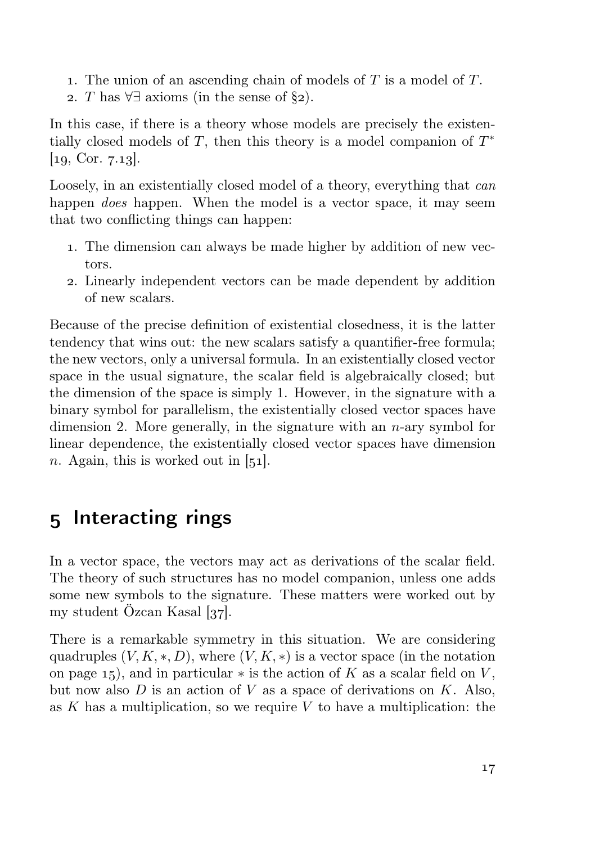- 1. The union of an ascending chain of models of  $T$  is a model of  $T$ .
- 2. T has  $\forall \exists$  axioms (in the sense of  $\S_2$ ).

In this case, if there is a theory whose models are precisely the existentially closed models of  $T$ , then this theory is a model companion of  $T^*$  $[a, Cor. 7.13].$ 

Loosely, in an existentially closed model of a theory, everything that can happen *does* happen. When the model is a vector space, it may seem that two conflicting things can happen:

- . The dimension can always be made higher by addition of new vectors.
- . Linearly independent vectors can be made dependent by addition of new scalars.

Because of the precise definition of existential closedness, it is the latter tendency that wins out: the new scalars satisfy a quantifier-free formula; the new vectors, only a universal formula. In an existentially closed vector space in the usual signature, the scalar field is algebraically closed; but the dimension of the space is simply 1. However, in the signature with a binary symbol for parallelism, the existentially closed vector spaces have dimension 2. More generally, in the signature with an  $n$ -ary symbol for linear dependence, the existentially closed vector spaces have dimension n. Again, this is worked out in  $[51]$ .

#### 5 Interacting rings

In a vector space, the vectors may act as derivations of the scalar field. The theory of such structures has no model companion, unless one adds some new symbols to the signature. These matters were worked out by my student Özcan Kasal  $[37]$ .

There is a remarkable symmetry in this situation. We are considering quadruples  $(V, K, \ast, D)$ , where  $(V, K, \ast)$  is a vector space (in the notation on page  $15$ , and in particular  $*$  is the action of K as a scalar field on V, but now also  $D$  is an action of  $V$  as a space of derivations on  $K$ . Also, as K has a multiplication, so we require V to have a multiplication: the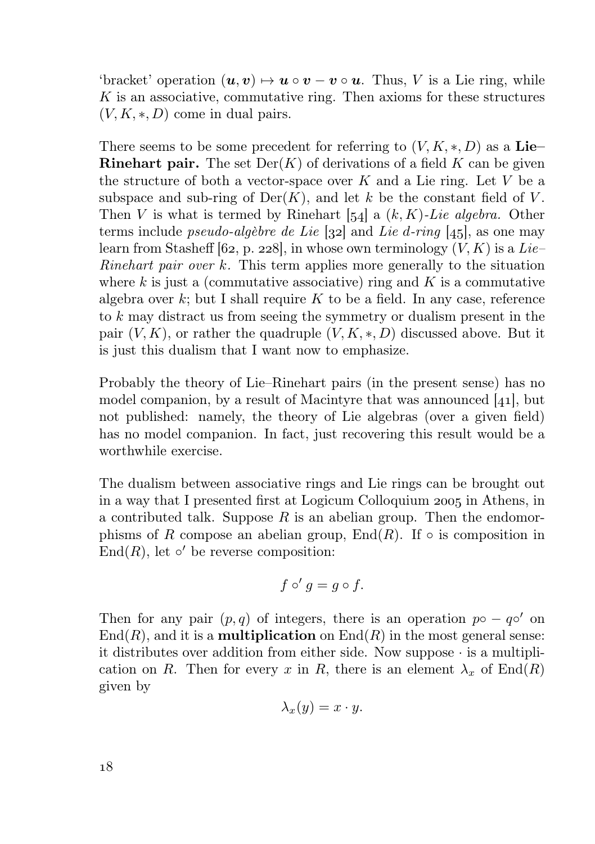'bracket' operation  $(u, v) \mapsto u \circ v - v \circ u$ . Thus, V is a Lie ring, while K is an associative, commutative ring. Then axioms for these structures  $(V, K, \ast, D)$  come in dual pairs.

There seems to be some precedent for referring to  $(V, K, \ast, D)$  as a Lie– **Rinehart pair.** The set  $Der(K)$  of derivations of a field K can be given the structure of both a vector-space over  $K$  and a Lie ring. Let  $V$  be a subspace and sub-ring of  $\text{Der}(K)$ , and let k be the constant field of V. Then V is what is termed by Rinehart  $[54]$  a  $(k, K)$ -Lie algebra. Other terms include *pseudo-algèbre de Lie* [32] and *Lie d-ring* [45], as one may learn from Stasheff [62, p. 228], in whose own terminology  $(V, K)$  is a Lie– *Rinehart pair over k.* This term applies more generally to the situation where  $k$  is just a (commutative associative) ring and  $K$  is a commutative algebra over  $k$ ; but I shall require  $K$  to be a field. In any case, reference to k may distract us from seeing the symmetry or dualism present in the pair  $(V, K)$ , or rather the quadruple  $(V, K, \ast, D)$  discussed above. But it is just this dualism that I want now to emphasize.

Probably the theory of Lie–Rinehart pairs (in the present sense) has no model companion, by a result of Macintyre that was announced  $[41]$ , but not published: namely, the theory of Lie algebras (over a given field) has no model companion. In fact, just recovering this result would be a worthwhile exercise.

The dualism between associative rings and Lie rings can be brought out in a way that I presented first at Logicum Colloquium 2005 in Athens, in a contributed talk. Suppose  $R$  is an abelian group. Then the endomorphisms of R compose an abelian group, End $(R)$ . If  $\circ$  is composition in End $(R)$ , let  $\circ'$  be reverse composition:

$$
f\circ' g=g\circ f.
$$

Then for any pair  $(p, q)$  of integers, there is an operation  $p \circ -q \circ'$  on  $\text{End}(R)$ , and it is a **multiplication** on  $\text{End}(R)$  in the most general sense: it distributes over addition from either side. Now suppose · is a multiplication on R. Then for every x in R, there is an element  $\lambda_x$  of End(R) given by

$$
\lambda_x(y) = x \cdot y.
$$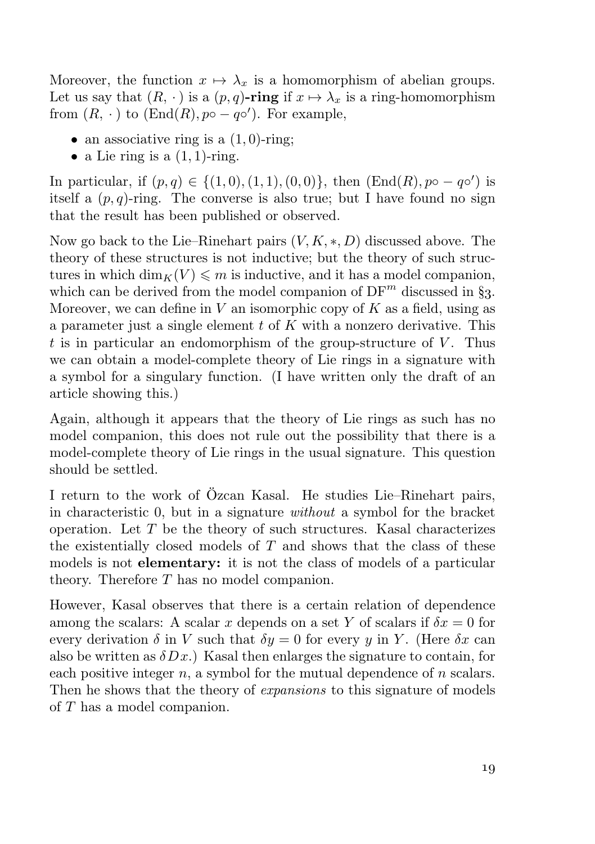Moreover, the function  $x \mapsto \lambda_x$  is a homomorphism of abelian groups. Let us say that  $(R, \cdot)$  is a  $(p, q)$ -ring if  $x \mapsto \lambda_x$  is a ring-homomorphism from  $(R, \cdot)$  to  $(End(R), p \circ -q \circ')$ . For example,

- an associative ring is a  $(1, 0)$ -ring;
- a Lie ring is a  $(1, 1)$ -ring.

In particular, if  $(p,q) \in \{(1,0), (1,1), (0,0)\}\$ , then  $(End(R), p \circ -q \circ')$  is itself a  $(p, q)$ -ring. The converse is also true; but I have found no sign that the result has been published or observed.

Now go back to the Lie–Rinehart pairs  $(V, K, \ast, D)$  discussed above. The theory of these structures is not inductive; but the theory of such structures in which  $\dim_K(V) \leq m$  is inductive, and it has a model companion, which can be derived from the model companion of  $DF^m$  discussed in §3. Moreover, we can define in V an isomorphic copy of K as a field, using as a parameter just a single element  $t$  of  $K$  with a nonzero derivative. This t is in particular an endomorphism of the group-structure of  $V$ . Thus we can obtain a model-complete theory of Lie rings in a signature with a symbol for a singulary function. (I have written only the draft of an article showing this.)

Again, although it appears that the theory of Lie rings as such has no model companion, this does not rule out the possibility that there is a model-complete theory of Lie rings in the usual signature. This question should be settled.

I return to the work of Özcan Kasal. He studies Lie–Rinehart pairs, in characteristic 0, but in a signature without a symbol for the bracket operation. Let  $T$  be the theory of such structures. Kasal characterizes the existentially closed models of  $T$  and shows that the class of these models is not elementary: it is not the class of models of a particular theory. Therefore T has no model companion.

However, Kasal observes that there is a certain relation of dependence among the scalars: A scalar x depends on a set Y of scalars if  $\delta x = 0$  for every derivation  $\delta$  in V such that  $\delta y = 0$  for every y in Y. (Here  $\delta x$  can also be written as  $\delta Dx$ .) Kasal then enlarges the signature to contain, for each positive integer  $n$ , a symbol for the mutual dependence of  $n$  scalars. Then he shows that the theory of *expansions* to this signature of models of T has a model companion.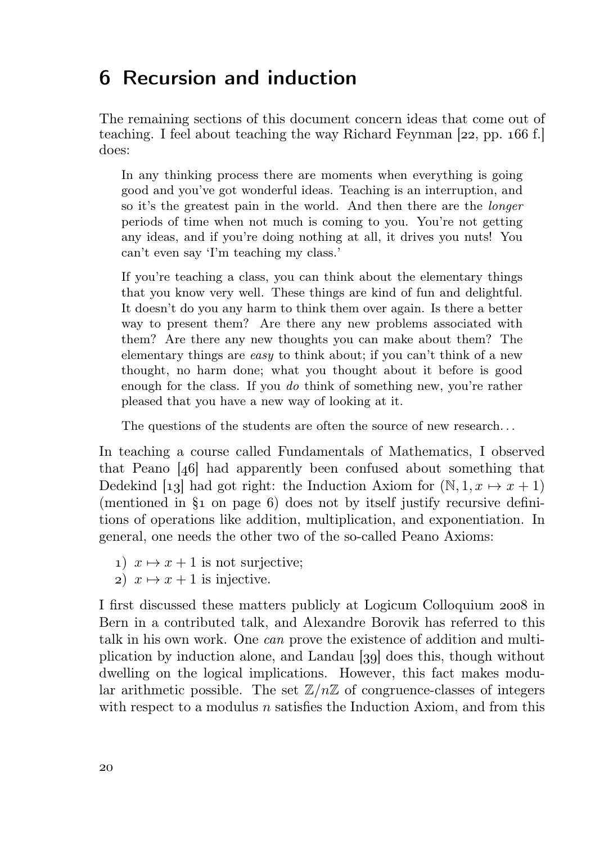#### Recursion and induction

The remaining sections of this document concern ideas that come out of teaching. I feel about teaching the way Richard Feynman  $[22, pp. 166 \text{ f.}]$ does:

In any thinking process there are moments when everything is going good and you've got wonderful ideas. Teaching is an interruption, and so it's the greatest pain in the world. And then there are the longer periods of time when not much is coming to you. You're not getting any ideas, and if you're doing nothing at all, it drives you nuts! You can't even say 'I'm teaching my class.'

If you're teaching a class, you can think about the elementary things that you know very well. These things are kind of fun and delightful. It doesn't do you any harm to think them over again. Is there a better way to present them? Are there any new problems associated with them? Are there any new thoughts you can make about them? The elementary things are easy to think about; if you can't think of a new thought, no harm done; what you thought about it before is good enough for the class. If you *do* think of something new, you're rather pleased that you have a new way of looking at it.

The questions of the students are often the source of new research. . .

In teaching a course called Fundamentals of Mathematics, I observed that Peano  $[46]$  had apparently been confused about something that Dedekind [13] had got right: the Induction Axiom for  $(N, 1, x \mapsto x + 1)$ (mentioned in  $\S_1$  on page 6) does not by itself justify recursive definitions of operations like addition, multiplication, and exponentiation. In general, one needs the other two of the so-called Peano Axioms:

- 1)  $x \mapsto x + 1$  is not surjective;
- 2)  $x \mapsto x + 1$  is injective.

I first discussed these matters publicly at Logicum Colloquium 2008 in Bern in a contributed talk, and Alexandre Borovik has referred to this talk in his own work. One can prove the existence of addition and multiplication by induction alone, and Landau [39] does this, though without dwelling on the logical implications. However, this fact makes modular arithmetic possible. The set  $\mathbb{Z}/n\mathbb{Z}$  of congruence-classes of integers with respect to a modulus  $n$  satisfies the Induction Axiom, and from this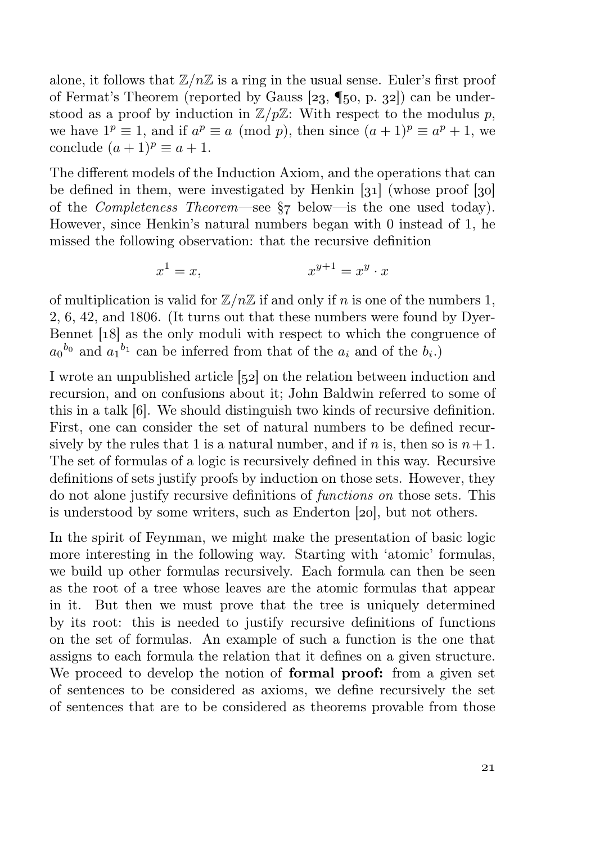alone, it follows that  $\mathbb{Z}/n\mathbb{Z}$  is a ring in the usual sense. Euler's first proof of Fermat's Theorem (reported by Gauss  $[23, \P{50}, p, 32]$ ) can be understood as a proof by induction in  $\mathbb{Z}/p\mathbb{Z}$ : With respect to the modulus p, we have  $1^p \equiv 1$ , and if  $a^p \equiv a \pmod{p}$ , then since  $(a+1)^p \equiv a^p + 1$ , we conclude  $(a+1)^p \equiv a+1$ .

The different models of the Induction Axiom, and the operations that can be defined in them, were investigated by Henkin  $\left[31\right]$  (whose proof  $\left[30\right]$ of the *Completeness Theorem*—see  $\S$  below—is the one used today). However, since Henkin's natural numbers began with 0 instead of 1, he missed the following observation: that the recursive definition

$$
x^1 = x, \qquad \qquad x^{y+1} = x^y \cdot x
$$

of multiplication is valid for  $\mathbb{Z}/n\mathbb{Z}$  if and only if n is one of the numbers 1, 2, 6, 42, and 1806. (It turns out that these numbers were found by Dyer-Bennet [18] as the only moduli with respect to which the congruence of  $a_0^{b_0}$  and  $a_1^{b_1}$  can be inferred from that of the  $a_i$  and of the  $b_i$ .)

I wrote an unpublished article [52] on the relation between induction and recursion, and on confusions about it; John Baldwin referred to some of this in a talk [6]. We should distinguish two kinds of recursive definition. First, one can consider the set of natural numbers to be defined recursively by the rules that 1 is a natural number, and if n is, then so is  $n+1$ . The set of formulas of a logic is recursively defined in this way. Recursive definitions of sets justify proofs by induction on those sets. However, they do not alone justify recursive definitions of functions on those sets. This is understood by some writers, such as Enderton  $[20]$ , but not others.

In the spirit of Feynman, we might make the presentation of basic logic more interesting in the following way. Starting with 'atomic' formulas, we build up other formulas recursively. Each formula can then be seen as the root of a tree whose leaves are the atomic formulas that appear in it. But then we must prove that the tree is uniquely determined by its root: this is needed to justify recursive definitions of functions on the set of formulas. An example of such a function is the one that assigns to each formula the relation that it defines on a given structure. We proceed to develop the notion of **formal proof:** from a given set of sentences to be considered as axioms, we define recursively the set of sentences that are to be considered as theorems provable from those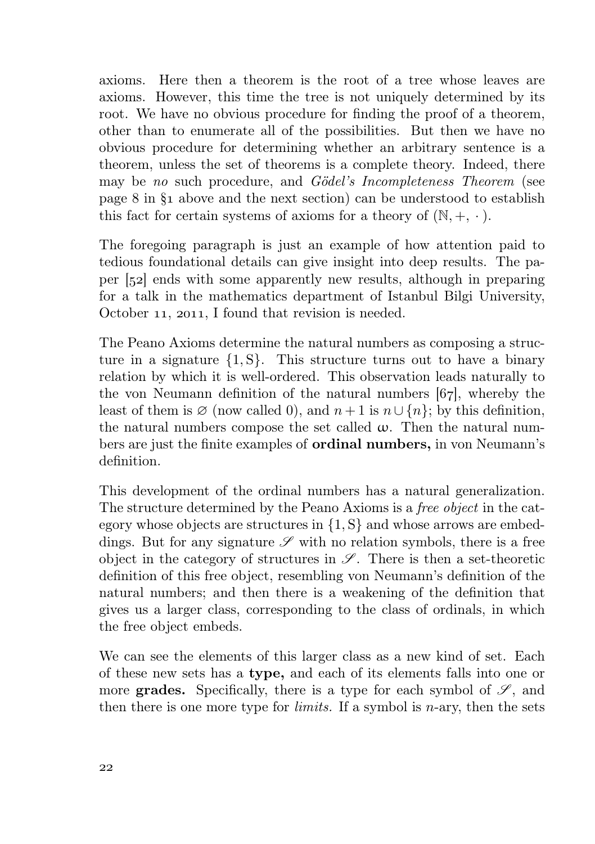axioms. Here then a theorem is the root of a tree whose leaves are axioms. However, this time the tree is not uniquely determined by its root. We have no obvious procedure for finding the proof of a theorem, other than to enumerate all of the possibilities. But then we have no obvious procedure for determining whether an arbitrary sentence is a theorem, unless the set of theorems is a complete theory. Indeed, there may be no such procedure, and Gödel's Incompleteness Theorem (see page  $8$  in  $\S_1$  above and the next section) can be understood to establish this fact for certain systems of axioms for a theory of  $(N, +, \cdot)$ .

The foregoing paragraph is just an example of how attention paid to tedious foundational details can give insight into deep results. The paper  $\left[52\right]$  ends with some apparently new results, although in preparing for a talk in the mathematics department of Istanbul Bilgi University, October 11, 2011, I found that revision is needed.

The Peano Axioms determine the natural numbers as composing a structure in a signature  $\{1, S\}$ . This structure turns out to have a binary relation by which it is well-ordered. This observation leads naturally to the von Neumann definition of the natural numbers  $[67]$ , whereby the least of them is  $\emptyset$  (now called 0), and  $n+1$  is  $n\cup\{n\}$ ; by this definition, the natural numbers compose the set called  $\omega$ . Then the natural numbers are just the finite examples of ordinal numbers, in von Neumann's definition.

This development of the ordinal numbers has a natural generalization. The structure determined by the Peano Axioms is a free object in the category whose objects are structures in {1, S} and whose arrows are embeddings. But for any signature  $\mathscr S$  with no relation symbols, there is a free object in the category of structures in  $\mathscr{S}$ . There is then a set-theoretic definition of this free object, resembling von Neumann's definition of the natural numbers; and then there is a weakening of the definition that gives us a larger class, corresponding to the class of ordinals, in which the free object embeds.

We can see the elements of this larger class as a new kind of set. Each of these new sets has a type, and each of its elements falls into one or more **grades.** Specifically, there is a type for each symbol of  $\mathscr{S}$ , and then there is one more type for *limits*. If a symbol is *n*-ary, then the sets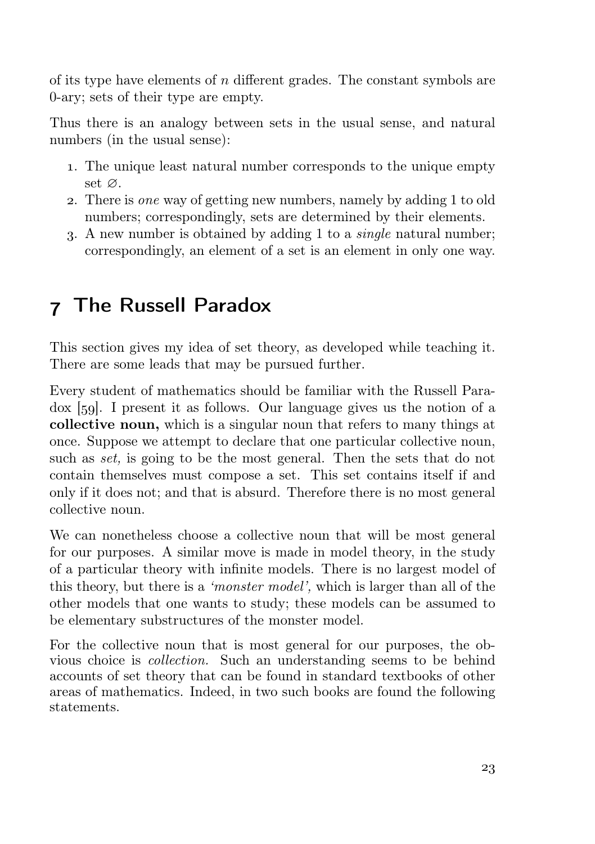of its type have elements of  $n$  different grades. The constant symbols are 0-ary; sets of their type are empty.

Thus there is an analogy between sets in the usual sense, and natural numbers (in the usual sense):

- . The unique least natural number corresponds to the unique empty set ∅.
- . There is one way of getting new numbers, namely by adding 1 to old numbers; correspondingly, sets are determined by their elements.
- . A new number is obtained by adding 1 to a single natural number; correspondingly, an element of a set is an element in only one way.

# The Russell Paradox

This section gives my idea of set theory, as developed while teaching it. There are some leads that may be pursued further.

Every student of mathematics should be familiar with the Russell Para- $\alpha$  [59]. I present it as follows. Our language gives us the notion of a collective noun, which is a singular noun that refers to many things at once. Suppose we attempt to declare that one particular collective noun, such as *set*, is going to be the most general. Then the sets that do not contain themselves must compose a set. This set contains itself if and only if it does not; and that is absurd. Therefore there is no most general collective noun.

We can nonetheless choose a collective noun that will be most general for our purposes. A similar move is made in model theory, in the study of a particular theory with infinite models. There is no largest model of this theory, but there is a 'monster model', which is larger than all of the other models that one wants to study; these models can be assumed to be elementary substructures of the monster model.

For the collective noun that is most general for our purposes, the obvious choice is collection. Such an understanding seems to be behind accounts of set theory that can be found in standard textbooks of other areas of mathematics. Indeed, in two such books are found the following statements.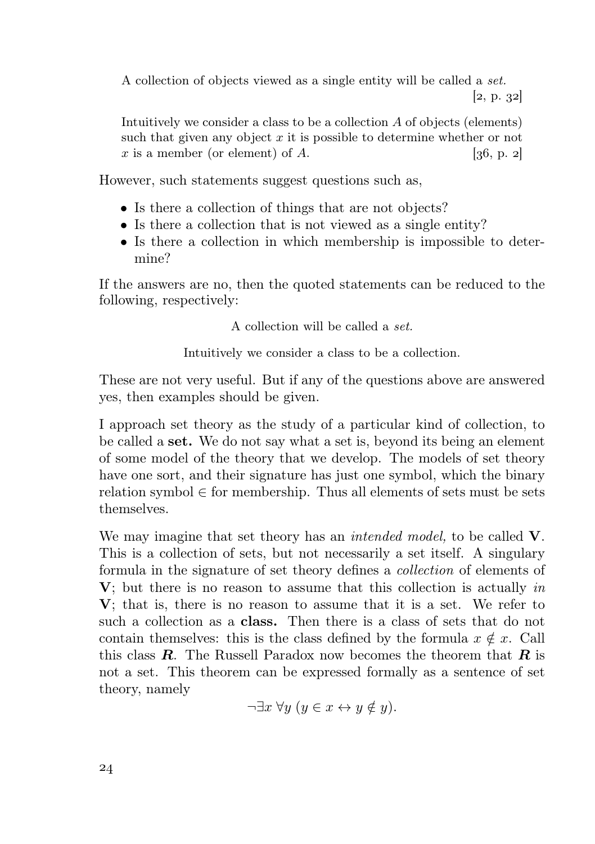A collection of objects viewed as a single entity will be called a set.  $[2, p. 32]$ 

Intuitively we consider a class to be a collection A of objects (elements) such that given any object  $x$  it is possible to determine whether or not x is a member (or element) of A.  $[36, p. 2]$ 

However, such statements suggest questions such as,

- Is there a collection of things that are not objects?
- Is there a collection that is not viewed as a single entity?
- Is there a collection in which membership is impossible to determine?

If the answers are no, then the quoted statements can be reduced to the following, respectively:

A collection will be called a set.

Intuitively we consider a class to be a collection.

These are not very useful. But if any of the questions above are answered yes, then examples should be given.

I approach set theory as the study of a particular kind of collection, to be called a set. We do not say what a set is, beyond its being an element of some model of the theory that we develop. The models of set theory have one sort, and their signature has just one symbol, which the binary relation symbol  $\in$  for membership. Thus all elements of sets must be sets themselves.

We may imagine that set theory has an *intended model*, to be called V. This is a collection of sets, but not necessarily a set itself. A singulary formula in the signature of set theory defines a collection of elements of  $V$ ; but there is no reason to assume that this collection is actually in V; that is, there is no reason to assume that it is a set. We refer to such a collection as a class. Then there is a class of sets that do not contain themselves: this is the class defined by the formula  $x \notin x$ . Call this class  $\bm{R}$ . The Russell Paradox now becomes the theorem that  $\bm{R}$  is not a set. This theorem can be expressed formally as a sentence of set theory, namely

 $\neg \exists x \forall y \ (y \in x \leftrightarrow y \notin y).$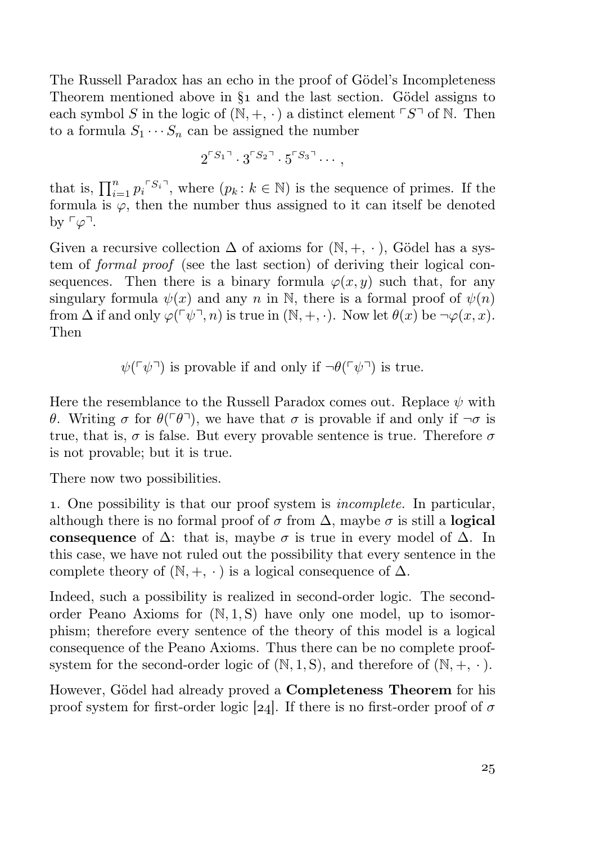The Russell Paradox has an echo in the proof of Gödel's Incompleteness Theorem mentioned above in  $\S_1$  and the last section. Gödel assigns to each symbol S in the logic of  $(N, +, \cdot)$  a distinct element  $\ulcorner S \urcorner$  of N. Then to a formula  $S_1 \cdots S_n$  can be assigned the number

$$
2^{\lceil S_1 \rceil} \cdot 3^{\lceil S_2 \rceil} \cdot 5^{\lceil S_3 \rceil} \cdots,
$$

that is,  $\prod_{i=1}^n p_i^{S_i}$ , where  $(p_k : k \in \mathbb{N})$  is the sequence of primes. If the formula is  $\varphi$ , then the number thus assigned to it can itself be denoted by  $\ulcorner \varphi \urcorner$ .

Given a recursive collection  $\Delta$  of axioms for  $(N, +, \cdot)$ , Gödel has a system of formal proof (see the last section) of deriving their logical consequences. Then there is a binary formula  $\varphi(x, y)$  such that, for any singulary formula  $\psi(x)$  and any n in N, there is a formal proof of  $\psi(n)$ from  $\Delta$  if and only  $\varphi(\ulcorner \psi \urcorner, n)$  is true in  $(\mathbb{N}, +, \cdot)$ . Now let  $\theta(x)$  be  $\neg \varphi(x, x)$ . Then

 $\psi(\ulcorner\psi\urcorner)$  is provable if and only if  $\neg\theta(\ulcorner\psi\urcorner)$  is true.

Here the resemblance to the Russell Paradox comes out. Replace  $\psi$  with θ. Writing σ for  $\theta(\ulcorner \theta \urcorner)$ , we have that σ is provable if and only if  $\neg \sigma$  is true, that is,  $\sigma$  is false. But every provable sentence is true. Therefore  $\sigma$ is not provable; but it is true.

There now two possibilities.

. One possibility is that our proof system is incomplete. In particular, although there is no formal proof of  $\sigma$  from  $\Delta$ , maybe  $\sigma$  is still a logical consequence of  $\Delta$ : that is, maybe  $\sigma$  is true in every model of  $\Delta$ . In this case, we have not ruled out the possibility that every sentence in the complete theory of  $(N, +, \cdot)$  is a logical consequence of  $\Delta$ .

Indeed, such a possibility is realized in second-order logic. The secondorder Peano Axioms for  $(N, 1, S)$  have only one model, up to isomorphism; therefore every sentence of the theory of this model is a logical consequence of the Peano Axioms. Thus there can be no complete proofsystem for the second-order logic of  $(N, 1, S)$ , and therefore of  $(N, +, \cdot)$ .

However, Gödel had already proved a Completeness Theorem for his proof system for first-order logic [24]. If there is no first-order proof of  $\sigma$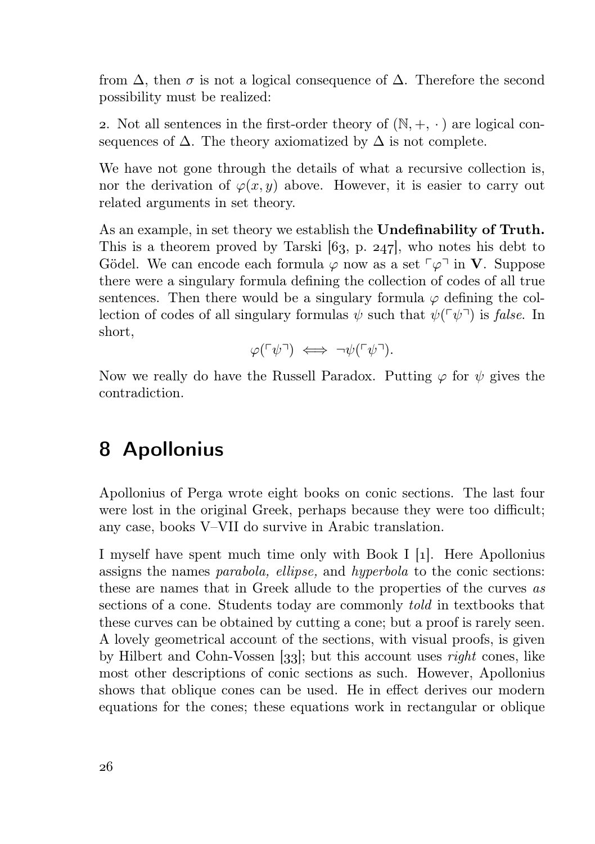from  $\Delta$ , then  $\sigma$  is not a logical consequence of  $\Delta$ . Therefore the second possibility must be realized:

2. Not all sentences in the first-order theory of  $(N, +, \cdot)$  are logical consequences of  $\Delta$ . The theory axiomatized by  $\Delta$  is not complete.

We have not gone through the details of what a recursive collection is, nor the derivation of  $\varphi(x, y)$  above. However, it is easier to carry out related arguments in set theory.

As an example, in set theory we establish the Undefinability of Truth. This is a theorem proved by Tarski  $[63, p. 247]$ , who notes his debt to Gödel. We can encode each formula  $\varphi$  now as a set  $\lceil \varphi \rceil$  in **V**. Suppose there were a singulary formula defining the collection of codes of all true sentences. Then there would be a singulary formula  $\varphi$  defining the collection of codes of all singulary formulas  $\psi$  such that  $\psi(\ulcorner \psi \urcorner)$  is false. In short,

 $\varphi(\ulcorner \psi \urcorner) \iff \neg \psi(\ulcorner \psi \urcorner).$ 

Now we really do have the Russell Paradox. Putting  $\varphi$  for  $\psi$  gives the contradiction.

#### Apollonius

Apollonius of Perga wrote eight books on conic sections. The last four were lost in the original Greek, perhaps because they were too difficult; any case, books V–VII do survive in Arabic translation.

I myself have spent much time only with Book I [1]. Here Apollonius assigns the names parabola, ellipse, and hyperbola to the conic sections: these are names that in Greek allude to the properties of the curves as sections of a cone. Students today are commonly told in textbooks that these curves can be obtained by cutting a cone; but a proof is rarely seen. A lovely geometrical account of the sections, with visual proofs, is given by Hilbert and Cohn-Vossen [33]; but this account uses *right* cones, like most other descriptions of conic sections as such. However, Apollonius shows that oblique cones can be used. He in effect derives our modern equations for the cones; these equations work in rectangular or oblique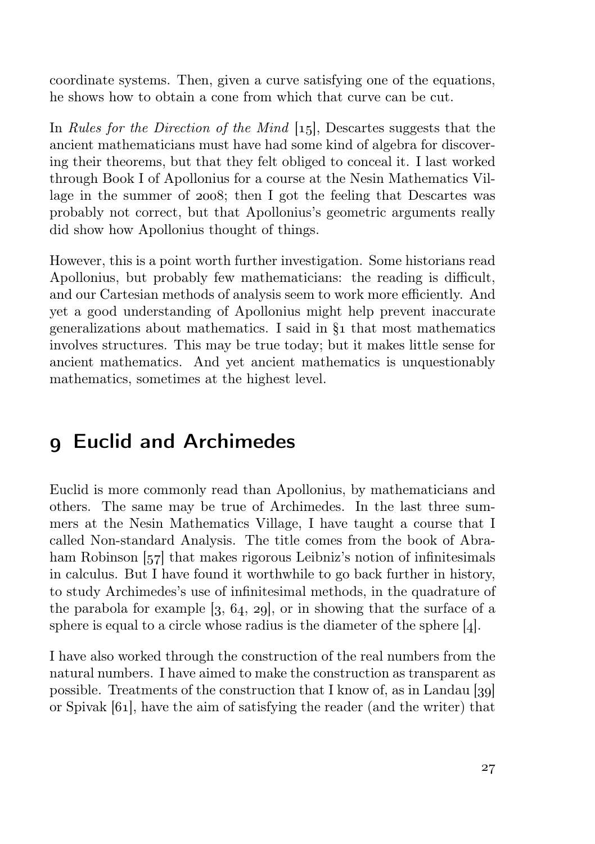coordinate systems. Then, given a curve satisfying one of the equations, he shows how to obtain a cone from which that curve can be cut.

In Rules for the Direction of the Mind  $[15]$ , Descartes suggests that the ancient mathematicians must have had some kind of algebra for discovering their theorems, but that they felt obliged to conceal it. I last worked through Book I of Apollonius for a course at the Nesin Mathematics Village in the summer of  $2008$ ; then I got the feeling that Descartes was probably not correct, but that Apollonius's geometric arguments really did show how Apollonius thought of things.

However, this is a point worth further investigation. Some historians read Apollonius, but probably few mathematicians: the reading is difficult, and our Cartesian methods of analysis seem to work more efficiently. And yet a good understanding of Apollonius might help prevent inaccurate generalizations about mathematics. I said in  $\S_1$  that most mathematics involves structures. This may be true today; but it makes little sense for ancient mathematics. And yet ancient mathematics is unquestionably mathematics, sometimes at the highest level.

## Euclid and Archimedes

Euclid is more commonly read than Apollonius, by mathematicians and others. The same may be true of Archimedes. In the last three summers at the Nesin Mathematics Village, I have taught a course that I called Non-standard Analysis. The title comes from the book of Abraham Robinson  $\left[\frac{57}{10}\right]$  that makes rigorous Leibniz's notion of infinitesimals in calculus. But I have found it worthwhile to go back further in history, to study Archimedes's use of infinitesimal methods, in the quadrature of the parabola for example  $[3, 64, 29]$ , or in showing that the surface of a sphere is equal to a circle whose radius is the diameter of the sphere  $[4]$ .

I have also worked through the construction of the real numbers from the natural numbers. I have aimed to make the construction as transparent as possible. Treatments of the construction that I know of, as in Landau  $[gq]$ or Spivak  $[61]$ , have the aim of satisfying the reader (and the writer) that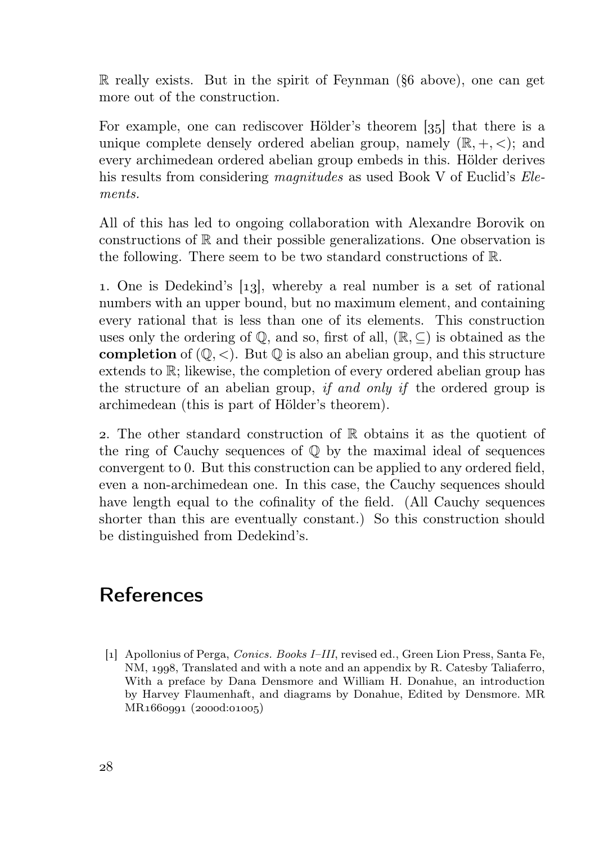$\mathbb R$  really exists. But in the spirit of Feynman ( $\delta$ 6 above), one can get more out of the construction.

For example, one can rediscover Hölder's theorem  $\left[35\right]$  that there is a unique complete densely ordered abelian group, namely  $(\mathbb{R}, +, <)$ ; and every archimedean ordered abelian group embeds in this. Hölder derives his results from considering *magnitudes* as used Book V of Euclid's *Ele*ments.

All of this has led to ongoing collaboration with Alexandre Borovik on constructions of  $\mathbb R$  and their possible generalizations. One observation is the following. There seem to be two standard constructions of R.

1. One is Dedekind's [13], whereby a real number is a set of rational numbers with an upper bound, but no maximum element, and containing every rational that is less than one of its elements. This construction uses only the ordering of  $\mathbb{O}$ , and so, first of all,  $(\mathbb{R}, \subseteq)$  is obtained as the **completion** of  $(\mathbb{Q}, \leq)$ . But  $\mathbb{Q}$  is also an abelian group, and this structure extends to R; likewise, the completion of every ordered abelian group has the structure of an abelian group, if and only if the ordered group is archimedean (this is part of Hölder's theorem).

2. The other standard construction of  $\mathbb R$  obtains it as the quotient of the ring of Cauchy sequences of Q by the maximal ideal of sequences convergent to 0. But this construction can be applied to any ordered field, even a non-archimedean one. In this case, the Cauchy sequences should have length equal to the cofinality of the field. (All Cauchy sequences shorter than this are eventually constant.) So this construction should be distinguished from Dedekind's.

## References

[] Apollonius of Perga, Conics. Books I–III, revised ed., Green Lion Press, Santa Fe, NM, 1998, Translated and with a note and an appendix by R. Catesby Taliaferro, With a preface by Dana Densmore and William H. Donahue, an introduction by Harvey Flaumenhaft, and diagrams by Donahue, Edited by Densmore. MR MR1660001 (2000d:01005)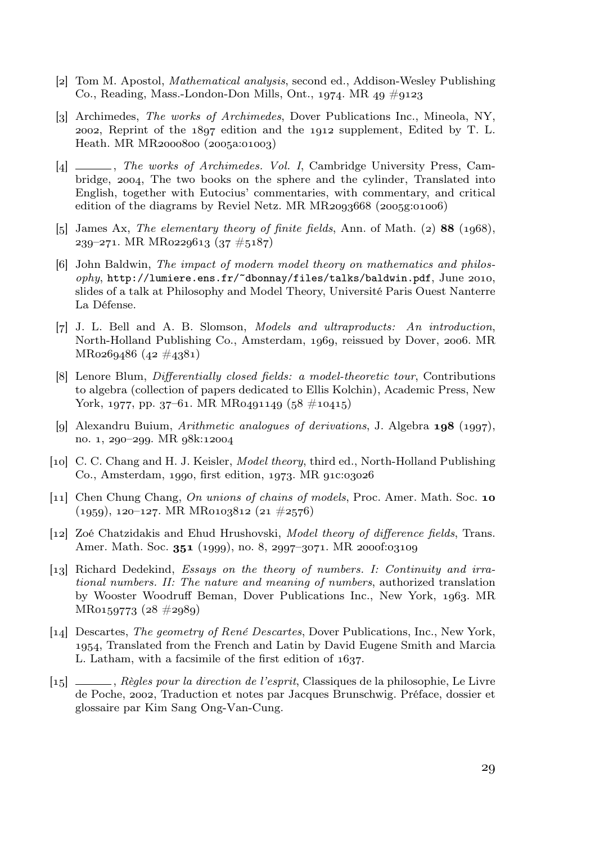- [2] Tom M. Apostol, *Mathematical analysis*, second ed., Addison-Wesley Publishing Co., Reading, Mass.-London-Don Mills, Ont., 1974. MR 49  $\#$ 9123
- [3] Archimedes, *The works of Archimedes*, Dover Publications Inc., Mineola, NY, 2002, Reprint of the  $1897$  edition and the  $1912$  supplement, Edited by T. L.  $Heath. MR MR<sub>2000</sub>800 (2005a:01003)$
- [4]  $\frac{1}{2}$ , The works of Archimedes. Vol. I, Cambridge University Press, Cambridge, 2004, The two books on the sphere and the cylinder, Translated into English, together with Eutocius' commentaries, with commentary, and critical edition of the diagrams by Reviel Netz. MR  $MR2093668$  ( $2005g:01006$ )
- [5] James Ax, The elementary theory of finite fields, Ann. of Math. (2)  $88$  (1968),  $239-271$ . MR MR0229613 (37  $\#5187$ )
- [6] John Baldwin, The impact of modern model theory on mathematics and philos $ophy$ , http://lumiere.ens.fr/~dbonnay/files/talks/baldwin.pdf, June 2010, slides of a talk at Philosophy and Model Theory, Université Paris Ouest Nanterre La Défense.
- [7] J. L. Bell and A. B. Slomson, *Models and ultraproducts: An introduction*, North-Holland Publishing Co., Amsterdam, 1969, reissued by Dover, 2006. MR  $MRo269486 (42 \#4381)$
- [8] Lenore Blum, *Differentially closed fields: a model-theoretic tour*, Contributions to algebra (collection of papers dedicated to Ellis Kolchin), Academic Press, New York, 1977, pp. 37–61. MR MR0491149 (58  $\#10415$ )
- [9] Alexandru Buium, *Arithmetic analogues of derivations*, J. Algebra  $\mathbf{198}$  (1997), no. 1, 290-299. MR 98k:12004
- [10] C. C. Chang and H. J. Keisler, *Model theory*, third ed., North-Holland Publishing Co., Amsterdam, 1990, first edition,  $1973$ , MR  $01C03026$
- [11] Chen Chung Chang, *On unions of chains of models*, Proc. Amer. Math. Soc. 10  $(1959), 120-127$ . MR MR0103812  $(21 \#2576)$
- [12] Zoé Chatzidakis and Ehud Hrushovski, Model theory of difference fields, Trans. Amer. Math. Soc. 351 (1999), no. 8, 2997-3071. MR 2000f:03109
- [13] Richard Dedekind, *Essays on the theory of numbers. I: Continuity and irra*tional numbers. II: The nature and meaning of numbers, authorized translation by Wooster Woodruff Beman, Dover Publications Inc., New York, 1963. MR  $MRo159773 (28 \#2989)$
- [14] Descartes, *The geometry of René Descartes*, Dover Publications, Inc., New York, , Translated from the French and Latin by David Eugene Smith and Marcia L. Latham, with a facsimile of the first edition of  $1637$ .
- [] , Règles pour la direction de l'esprit, Classiques de la philosophie, Le Livre de Poche, 2002, Traduction et notes par Jacques Brunschwig. Préface, dossier et glossaire par Kim Sang Ong-Van-Cung.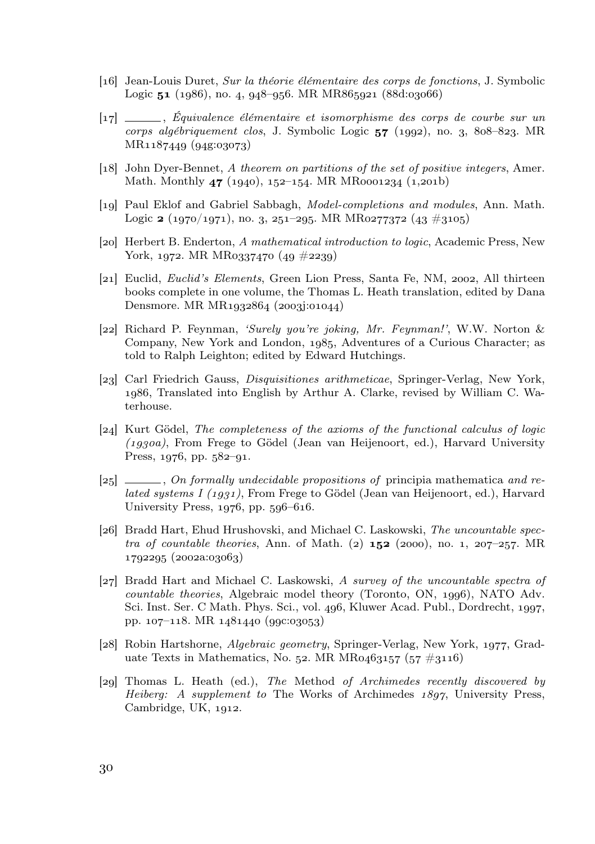- [] Jean-Louis Duret, Sur la théorie élémentaire des corps de fonctions, J. Symbolic Logic  $51$  (1986), no. 4, 948-956. MR MR865921 (88d:03066)
- [] , Équivalence élémentaire et isomorphisme des corps de courbe sur un corps algébriquement clos, J. Symbolic Logic  $57$  (1992), no. 3, 808–823. MR MR1187449 (94g:03073)
- [18] John Dyer-Bennet, A theorem on partitions of the set of positive integers, Amer. Math. Monthly  $47$  (1940), 152-154. MR MR0001234 (1,201b)
- [19] Paul Eklof and Gabriel Sabbagh, *Model-completions and modules*, Ann. Math. Logic  $\mathbf{z}$  (1970/1971), no. 3, 251–295. MR MR0277372 (43 #3105)
- [20] Herbert B. Enderton, A mathematical introduction to logic, Academic Press, New York, 1972. MR MR0337470  $(49 \#2239)$
- [21] Euclid, *Euclid's Elements*, Green Lion Press, Santa Fe, NM, 2002, All thirteen books complete in one volume, the Thomas L. Heath translation, edited by Dana Densmore. MR  $MR_{1932864}$  (2003):01044)
- [22] Richard P. Feynman, 'Surely you're joking, Mr. Feynman!', W.W. Norton & Company, New York and London, 1985, Adventures of a Curious Character; as told to Ralph Leighton; edited by Edward Hutchings.
- [23] Carl Friedrich Gauss, *Disquisitiones arithmeticae*, Springer-Verlag, New York, , Translated into English by Arthur A. Clarke, revised by William C. Waterhouse.
- [24] Kurt Gödel, *The completeness of the axioms of the functional calculus of logic*  $(1930a)$ , From Frege to Gödel (Jean van Heijenoort, ed.), Harvard University Press,  $1976$ , pp.  $582-91$ .
- $[25]$  , On formally undecidable propositions of principia mathematica and related systems I  $(1931)$ , From Frege to Gödel (Jean van Heijenoort, ed.), Harvard University Press,  $1976$ , pp.  $596-616$ .
- [26] Bradd Hart, Ehud Hrushovski, and Michael C. Laskowski, The uncountable spectra of countable theories, Ann. of Math. (2)  $152$  (2000), no. 1, 207–257. MR 1702205 (2002a:03063)
- [27] Bradd Hart and Michael C. Laskowski, A survey of the uncountable spectra of  $countable$  theories, Algebraic model theory (Toronto, ON,  $1996$ ), NATO Adv. Sci. Inst. Ser. C Math. Phys. Sci., vol. 496, Kluwer Acad. Publ., Dordrecht, 1997. pp.  $107-118$ . MR  $1481440$  (990:03053)
- [28] Robin Hartshorne, Algebraic geometry, Springer-Verlag, New York, 1977, Graduate Texts in Mathematics, No. 52. MR MR0463157 (57  $\#3116$ )
- [29] Thomas L. Heath (ed.), The Method of Archimedes recently discovered by Heiberg: A supplement to The Works of Archimedes  $1897$ , University Press, Cambridge, UK, 1912.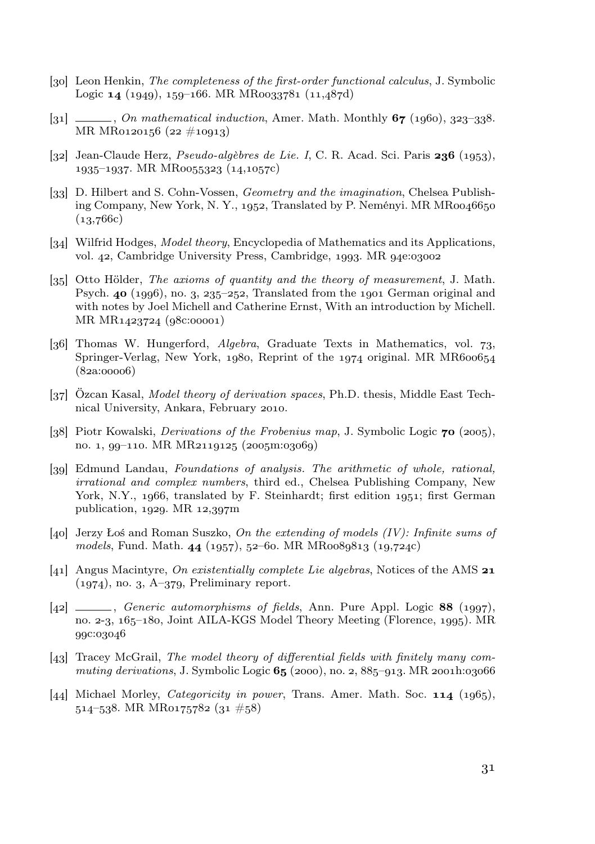- [30] Leon Henkin, *The completeness of the first-order functional calculus*, J. Symbolic Logic  $14$  (1949), 159–166. MR MR0033781 (11,487d)
- $[31]$  , On mathematical induction, Amer. Math. Monthly  $67$  (1960), 323–338. MR MR0120156 (22  $\#10913$ )
- [32] Jean-Claude Herz, *Pseudo-algèbres de Lie. I*, C. R. Acad. Sci. Paris 236 (1953).  $1935-1937$ . MR MR0055323 (14,1057c)
- [33] D. Hilbert and S. Cohn-Vossen, Geometry and the imagination, Chelsea Publishing Company, New York, N. Y., 1952, Translated by P. Neményi. MR  $MR0046650$  $(13,766c)$
- [34] Wilfrid Hodges, *Model theory*, Encyclopedia of Mathematics and its Applications, vol. 42, Cambridge University Press, Cambridge, 1993. MR 94e:03002
- [35] Otto Hölder, *The axioms of quantity and the theory of measurement*, J. Math. Psych.  $40$  (1996), no. 3, 235-252, Translated from the 1901 German original and with notes by Joel Michell and Catherine Ernst, With an introduction by Michell. MR MR1423724 (98c:00001)
- [36] Thomas W. Hungerford,  $Algebra$ , Graduate Texts in Mathematics, vol. 73, Springer-Verlag, New York,  $1980$ , Reprint of the  $1974$  original. MR MR600654  $(82a:00006)$
- [37] Özcan Kasal, *Model theory of derivation spaces*, Ph.D. thesis, Middle East Technical University, Ankara, February 2010.
- [38] Piotr Kowalski, *Derivations of the Frobenius map*, J. Symbolic Logic  $\tau$ **0** (2005), no. 1, 99-110. MR MR2119125 (2005m:03069)
- [30] Edmund Landau, Foundations of analysis. The arithmetic of whole, rational, irrational and complex numbers, third ed., Chelsea Publishing Company, New York, N.Y., 1966, translated by F. Steinhardt; first edition 1951; first German publication,  $1929$ . MR  $12,397$ m
- [40] Jerzy Łoś and Roman Suszko, On the extending of models  $(IV)$ : Infinite sums of models, Fund. Math.  $44$  (1957), 52-60. MR MR0089813 (19,724c)
- [41] Angus Macintyre, On existentially complete Lie algebras, Notices of the AMS  $21$  $(1974)$ , no. 3, A–379, Preliminary report.
- [42]  $\frac{[42]}{[42]}$ , Generic automorphisms of fields, Ann. Pure Appl. Logic 88 (1997). no.  $2-3$ ,  $165-180$ , Joint AILA-KGS Model Theory Meeting (Florence, 1995). MR 99c:03046
- $[43]$  Tracey McGrail, The model theory of differential fields with finitely many commuting derivations, J. Symbolic Logic  $65$  (2000), no. 2, 885–913. MR 2001h:03066
- [44] Michael Morley, *Categoricity in power*, Trans. Amer. Math. Soc.  $114$  (1965),  $514 - 538$ , MR MR0175782 (31  $\#58$ )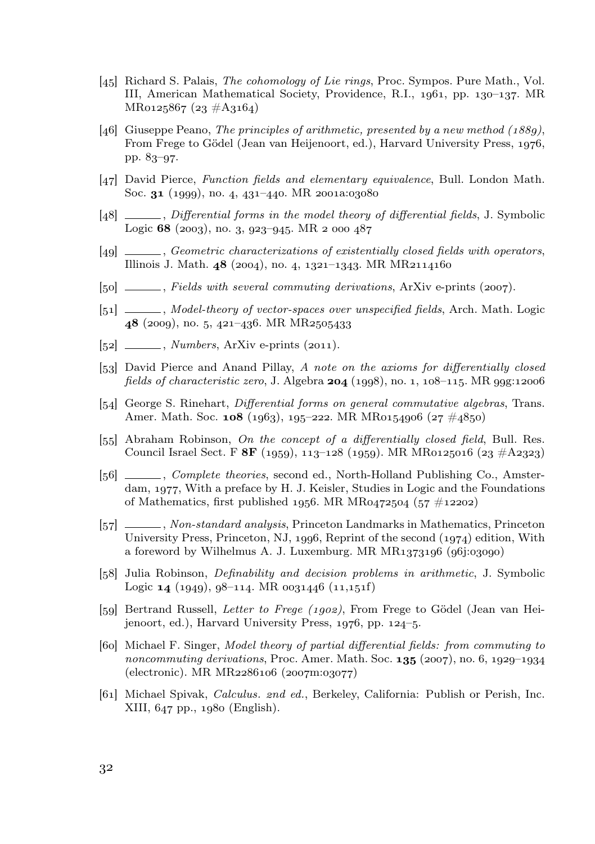- [45] Richard S. Palais, *The cohomology of Lie rings*, Proc. Sympos. Pure Math., Vol. III, American Mathematical Society, Providence, R.I.,  $1961$ , pp.  $130-137$ . MR  $MRo125867 (23 \#A3164)$
- [46] Giuseppe Peano, The principles of arithmetic, presented by a new method  $(1889)$ . From Frege to Gödel (Jean van Heijenoort, ed.), Harvard University Press, 1976. pp. 83-97.
- [47] David Pierce, Function fields and elementary equivalence, Bull. London Math. Soc.  $31$  (1999), no. 4, 431-440. MR 2001a:03080
- [48] , Differential forms in the model theory of differential fields, J. Symbolic Logic 68 (2003), no. 3, 923-945. MR 2 000 487
- [49] , Geometric characterizations of existentially closed fields with operators, Illinois J. Math.  $48$  (2004), no. 4, 1321-1343. MR MR2114160
- $[50]$  \_\_\_\_, Fields with several commuting derivations, ArXiv e-prints (2007).
- [51] , Model-theory of vector-spaces over unspecified fields, Arch. Math. Logic 48 (2009), no. 5, 421-436. MR MR2505433
- $[52] \quad \underline{\hspace{1cm}}$ , Numbers, ArXiv e-prints  $(2011)$ .
- [53] David Pierce and Anand Pillay, A note on the axioms for differentially closed fields of characteristic zero, J. Algebra  $204$  (1998), no. 1,  $108-115$ . MR 99g:12006
- [54] George S. Rinehart, *Differential forms on general commutative algebras*, Trans. Amer. Math. Soc. 108 (1963), 195-222. MR MR0154906 (27  $\#4850$ )
- $[55]$  Abraham Robinson, On the concept of a differentially closed field, Bull. Res. Council Israel Sect. F 8F (1959), 113-128 (1959). MR MR0125016 (23  $\#A$ 2323)
- [56] Complete theories, second ed., North-Holland Publishing Co., Amsterdam,  $1977$ , With a preface by H. J. Keisler, Studies in Logic and the Foundations of Mathematics, first published 1956. MR MR0472504  $(57 \#12202)$
- [57] , Non-standard analysis, Princeton Landmarks in Mathematics, Princeton University Press, Princeton, NJ, 1996, Reprint of the second  $(1974)$  edition, With a foreword by Wilhelmus A. J. Luxemburg. MR  $MR_{1373196}$  (96j:03090)
- [58] Julia Robinson, *Definability and decision problems in arithmetic*, J. Symbolic Logic  $\mathbf{14}$  (1949), 98–114. MR  $\mathrm{0031446}$  (11,151f)
- [59] Bertrand Russell, Letter to Frege (1902), From Frege to Gödel (Jean van Heiienoort, ed.), Harvard University Press,  $1976$ , pp.  $124-5$ .
- [60] Michael F. Singer, *Model theory of partial differential fields: from commuting to* noncommuting derivations, Proc. Amer. Math. Soc.  $135$  (2007), no. 6, 1929–1934  $(electronic)$ . MR MR2286106  $(2007m:03077)$
- [61] Michael Spivak, Calculus. end ed., Berkeley, California: Publish or Perish, Inc.  $XIII$ ,  $647$  pp.,  $1080$  (English).